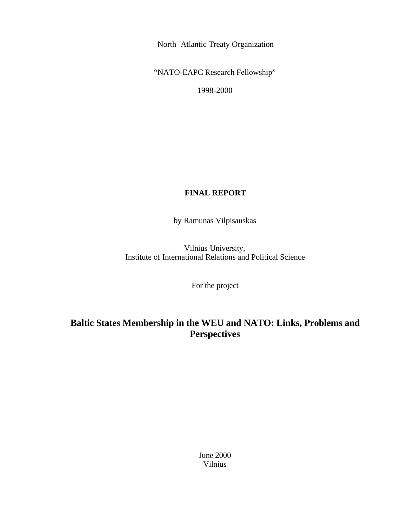North Atlantic Treaty Organization

"NATO-EAPC Research Fellowship"

1998-2000

## **FINAL REPORT**

by Ramunas Vilpisauskas

Vilnius University, Institute of International Relations and Political Science

For the project

# **Baltic States Membership in the WEU and NATO: Links, Problems and Perspectives**

June 2000 Vilnius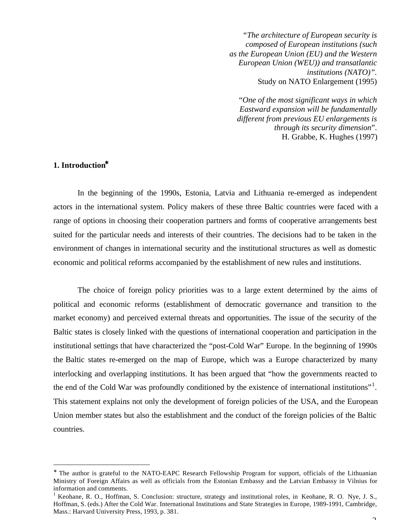*"The architecture of European security is composed of European institutions (such as the European Union (EU) and the Western European Union (WEU)) and transatlantic institutions (NATO)".* Study on NATO Enlargement (1995)

"*One of the most significant ways in which Eastward expansion will be fundamentally different from previous EU enlargements is through its security dimension*". H. Grabbe, K. Hughes (1997)

### **1. Introduction\***

 $\overline{a}$ 

In the beginning of the 1990s, Estonia, Latvia and Lithuania re-emerged as independent actors in the international system. Policy makers of these three Baltic countries were faced with a range of options in choosing their cooperation partners and forms of cooperative arrangements best suited for the particular needs and interests of their countries. The decisions had to be taken in the environment of changes in international security and the institutional structures as well as domestic economic and political reforms accompanied by the establishment of new rules and institutions.

The choice of foreign policy priorities was to a large extent determined by the aims of political and economic reforms (establishment of democratic governance and transition to the market economy) and perceived external threats and opportunities. The issue of the security of the Baltic states is closely linked with the questions of international cooperation and participation in the institutional settings that have characterized the "post-Cold War" Europe. In the beginning of 1990s the Baltic states re-emerged on the map of Europe, which was a Europe characterized by many interlocking and overlapping institutions. It has been argued that "how the governments reacted to the end of the Cold War was profoundly conditioned by the existence of international institutions"<sup>1</sup>. This statement explains not only the development of foreign policies of the USA, and the European Union member states but also the establishment and the conduct of the foreign policies of the Baltic countries.

<sup>∗</sup> The author is grateful to the NATO-EAPC Research Fellowship Program for support, officials of the Lithuanian Ministry of Foreign Affairs as well as officials from the Estonian Embassy and the Latvian Embassy in Vilnius for information and comments.

<sup>&</sup>lt;sup>1</sup> Keohane, R. O., Hoffman, S. Conclusion: structure, strategy and institutional roles, in Keohane, R. O. Nye, J. S., Hoffman, S. (eds.) After the Cold War. International Institutions and State Strategies in Europe, 1989-1991, Cambridge, Mass.: Harvard University Press, 1993, p. 381.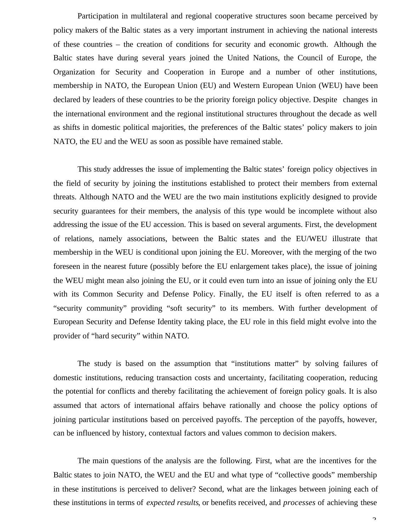Participation in multilateral and regional cooperative structures soon became perceived by policy makers of the Baltic states as a very important instrument in achieving the national interests of these countries – the creation of conditions for security and economic growth. Although the Baltic states have during several years joined the United Nations, the Council of Europe, the Organization for Security and Cooperation in Europe and a number of other institutions, membership in NATO, the European Union (EU) and Western European Union (WEU) have been declared by leaders of these countries to be the priority foreign policy objective. Despite changes in the international environment and the regional institutional structures throughout the decade as well as shifts in domestic political majorities, the preferences of the Baltic states' policy makers to join NATO, the EU and the WEU as soon as possible have remained stable.

This study addresses the issue of implementing the Baltic states' foreign policy objectives in the field of security by joining the institutions established to protect their members from external threats. Although NATO and the WEU are the two main institutions explicitly designed to provide security guarantees for their members, the analysis of this type would be incomplete without also addressing the issue of the EU accession. This is based on several arguments. First, the development of relations, namely associations, between the Baltic states and the EU/WEU illustrate that membership in the WEU is conditional upon joining the EU. Moreover, with the merging of the two foreseen in the nearest future (possibly before the EU enlargement takes place), the issue of joining the WEU might mean also joining the EU, or it could even turn into an issue of joining only the EU with its Common Security and Defense Policy. Finally, the EU itself is often referred to as a "security community" providing "soft security" to its members. With further development of European Security and Defense Identity taking place, the EU role in this field might evolve into the provider of "hard security" within NATO.

The study is based on the assumption that "institutions matter" by solving failures of domestic institutions, reducing transaction costs and uncertainty, facilitating cooperation, reducing the potential for conflicts and thereby facilitating the achievement of foreign policy goals. It is also assumed that actors of international affairs behave rationally and choose the policy options of joining particular institutions based on perceived payoffs. The perception of the payoffs, however, can be influenced by history, contextual factors and values common to decision makers.

The main questions of the analysis are the following. First, what are the incentives for the Baltic states to join NATO, the WEU and the EU and what type of "collective goods" membership in these institutions is perceived to deliver? Second, what are the linkages between joining each of these institutions in terms of *expected results*, or benefits received, and *processes* of achieving these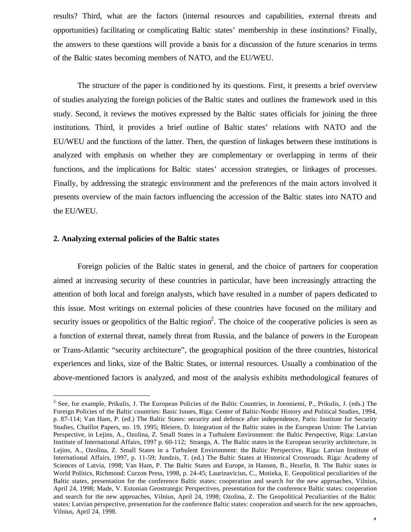results? Third, what are the factors (internal resources and capabilities, external threats and opportunities) facilitating or complicating Baltic states' membership in these institutions? Finally, the answers to these questions will provide a basis for a discussion of the future scenarios in terms of the Baltic states becoming members of NATO, and the EU/WEU.

The structure of the paper is conditioned by its questions. First, it presents a brief overview of studies analyzing the foreign policies of the Baltic states and outlines the framework used in this study. Second, it reviews the motives expressed by the Baltic states officials for joining the three institutions. Third, it provides a brief outline of Baltic states' relations with NATO and the EU/WEU and the functions of the latter. Then, the question of linkages between these institutions is analyzed with emphasis on whether they are complementary or overlapping in terms of their functions, and the implications for Baltic states' accession strategies, or linkages of processes. Finally, by addressing the strategic environment and the preferences of the main actors involved it presents overview of the main factors influencing the accession of the Baltic states into NATO and the EU/WEU.

#### **2. Analyzing external policies of the Baltic states**

 $\overline{a}$ 

Foreign policies of the Baltic states in general, and the choice of partners for cooperation aimed at increasing security of these countries in particular, have been increasingly attracting the attention of both local and foreign analysts, which have resulted in a number of papers dedicated to this issue. Most writings on external policies of these countries have focused on the military and security issues or geopolitics of the Baltic region<sup>2</sup>. The choice of the cooperative policies is seen as a function of external threat, namely threat from Russia, and the balance of powers in the European or Trans-Atlantic "security architecture", the geographical position of the three countries, historical experiences and links, size of the Baltic States, or internal resources. Usually a combination of the above-mentioned factors is analyzed, and most of the analysis exhibits methodological features of

 $2^2$  See, for example, Prikulis, J. The European Policies of the Baltic Countries, in Joenniemi, P., Prikulis, J. (eds.) The Foreign Policies of the Baltic countries: Basic Issues, Riga: Center of Baltic-Nordic History and Political Studies, 1994, p. 87-114; Van Ham, P. (ed.) The Baltic States: security and defence after independence, Paris: Institute for Security Studies, Chaillot Papers, no. 19, 1995; Bleiere, D. Integration of the Baltic states in the European Union: The Latvian Perspective, in Lejins, A., Ozolina, Z. Small States in a Turbulent Environment: the Baltic Perspective, Riga: Latvian Institute of International Affairs, 1997 p. 60-112; Stranga, A. The Baltic states in the European security architecture, in Lejins, A., Ozolina, Z. Small States in a Turbulent Environment: the Baltic Perspective, Riga: Latvian Institute of International Affairs, 1997, p. 11-59; Jundzis, T. (ed.) The Baltic States at Historical Crossroads. Riga: Academy of Sciences of Latvia, 1998; Van Ham, P. The Baltic States and Europe, in Hansen, B., Heurlin, B. The Baltic states in World Politics, Richmond: Curzon Press, 1998, p. 24-45; Laurinavicius, C., Motieka, E. Geopolitical peculiarities of the Baltic states, presentation for the conference Baltic states: cooperation and search for the new approaches, Vilnius, April 24, 1998; Made, V. Estonian Geostrategic Perspectives, presentation for the conference Baltic states: cooperation and search for the new approaches, Vilnius, April 24, 1998; Ozolina, Z. The Geopolitical Peculiarities of the Baltic states: Latvian perspective, presentation for the conference Baltic states: cooperation and search for the new approaches, Vilnius, April 24, 1998.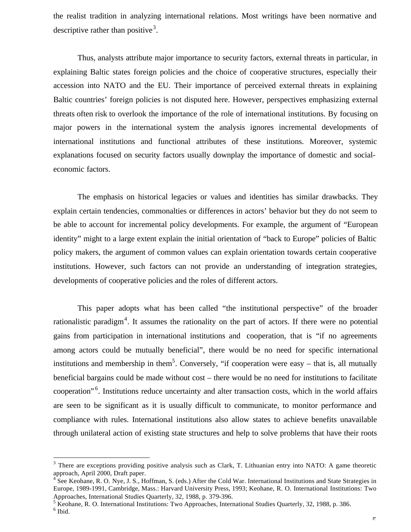the realist tradition in analyzing international relations. Most writings have been normative and descriptive rather than positive<sup>3</sup>.

Thus, analysts attribute major importance to security factors, external threats in particular, in explaining Baltic states foreign policies and the choice of cooperative structures, especially their accession into NATO and the EU. Their importance of perceived external threats in explaining Baltic countries' foreign policies is not disputed here. However, perspectives emphasizing external threats often risk to overlook the importance of the role of international institutions. By focusing on major powers in the international system the analysis ignores incremental developments of international institutions and functional attributes of these institutions. Moreover, systemic explanations focused on security factors usually downplay the importance of domestic and socialeconomic factors.

The emphasis on historical legacies or values and identities has similar drawbacks. They explain certain tendencies, commonalties or differences in actors' behavior but they do not seem to be able to account for incremental policy developments. For example, the argument of "European identity" might to a large extent explain the initial orientation of "back to Europe" policies of Baltic policy makers, the argument of common values can explain orientation towards certain cooperative institutions. However, such factors can not provide an understanding of integration strategies, developments of cooperative policies and the roles of different actors.

This paper adopts what has been called "the institutional perspective" of the broader rationalistic paradigm<sup>4</sup>. It assumes the rationality on the part of actors. If there were no potential gains from participation in international institutions and cooperation, that is "if no agreements among actors could be mutually beneficial", there would be no need for specific international institutions and membership in them<sup>5</sup>. Conversely, "if cooperation were easy  $-$  that is, all mutually beneficial bargains could be made without cost – there would be no need for institutions to facilitate cooperation"<sup>6</sup>. Institutions reduce uncertainty and alter transaction costs, which in the world affairs are seen to be significant as it is usually difficult to communicate, to monitor performance and compliance with rules. International institutions also allow states to achieve benefits unavailable through unilateral action of existing state structures and help to solve problems that have their roots

 $3$  There are exceptions providing positive analysis such as Clark, T. Lithuanian entry into NATO: A game theoretic

approach, April 2000, Draft paper.<br><sup>4</sup> See Keohane, R. O. Nye, J. S., Hoffman, S. (eds.) After the Cold War. International Institutions and State Strategies in Europe, 1989-1991, Cambridge, Mass.: Harvard University Press, 1993; Keohane, R. O. International Institutions: Two Approaches, International Studies Quarterly, 32, 1988, p. 379-396.

<sup>&</sup>lt;sup>5</sup> Keohane, R. O. International Institutions: Two Approaches, International Studies Quarterly, 32, 1988, p. 386.  $<sup>6</sup>$  Ibid.</sup>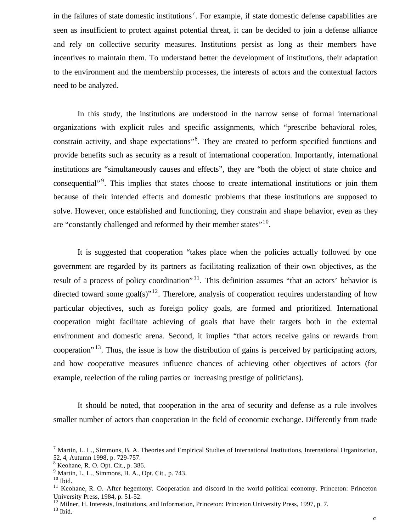in the failures of state domestic institutions<sup>7</sup>. For example, if state domestic defense capabilities are seen as insufficient to protect against potential threat, it can be decided to join a defense alliance and rely on collective security measures. Institutions persist as long as their members have incentives to maintain them. To understand better the development of institutions, their adaptation to the environment and the membership processes, the interests of actors and the contextual factors need to be analyzed.

In this study, the institutions are understood in the narrow sense of formal international organizations with explicit rules and specific assignments, which "prescribe behavioral roles, constrain activity, and shape expectations"<sup>8</sup>. They are created to perform specified functions and provide benefits such as security as a result of international cooperation. Importantly, international institutions are "simultaneously causes and effects", they are "both the object of state choice and consequential"<sup>9</sup>. This implies that states choose to create international institutions or join them because of their intended effects and domestic problems that these institutions are supposed to solve. However, once established and functioning, they constrain and shape behavior, even as they are "constantly challenged and reformed by their member states"<sup>10</sup>.

It is suggested that cooperation "takes place when the policies actually followed by one government are regarded by its partners as facilitating realization of their own objectives, as the result of a process of policy coordination"<sup>11</sup>. This definition assumes "that an actors' behavior is directed toward some goal(s)"<sup>12</sup>. Therefore, analysis of cooperation requires understanding of how particular objectives, such as foreign policy goals, are formed and prioritized. International cooperation might facilitate achieving of goals that have their targets both in the external environment and domestic arena. Second, it implies "that actors receive gains or rewards from cooperation<sup> $13$ </sup>. Thus, the issue is how the distribution of gains is perceived by participating actors, and how cooperative measures influence chances of achieving other objectives of actors (for example, reelection of the ruling parties or increasing prestige of politicians).

It should be noted, that cooperation in the area of security and defense as a rule involves smaller number of actors than cooperation in the field of economic exchange. Differently from trade

 $^7$  Martin, L. L., Simmons, B. A. Theories and Empirical Studies of International Institutions, International Organization, 52, 4, Autumn 1998, p. 729-757.

 $8$  Keohane, R. O. Opt. Cit., p. 386.

<sup>9</sup> Martin, L. L., Simmons, B. A., Opt. Cit., p. 743.

 $^{\rm 10}$  Ibid.

<sup>&</sup>lt;sup>11</sup> Keohane, R. O. After hegemony. Cooperation and discord in the world political economy. Princeton: Princeton University Press, 1984, p. 51-52.

<sup>&</sup>lt;sup>12</sup> Milner, H. Interests, Institutions, and Information, Princeton: Princeton University Press, 1997, p. 7.

 $13$  Ibid.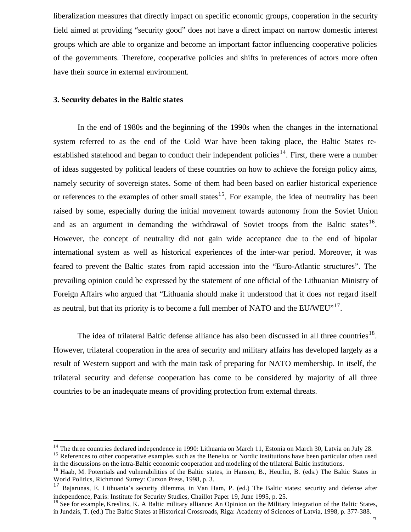liberalization measures that directly impact on specific economic groups, cooperation in the security field aimed at providing "security good" does not have a direct impact on narrow domestic interest groups which are able to organize and become an important factor influencing cooperative policies of the governments. Therefore, cooperative policies and shifts in preferences of actors more often have their source in external environment.

#### **3. Security debates in the Baltic states**

 $\overline{a}$ 

In the end of 1980s and the beginning of the 1990s when the changes in the international system referred to as the end of the Cold War have been taking place, the Baltic States reestablished statehood and began to conduct their independent policies<sup>14</sup>. First, there were a number of ideas suggested by political leaders of these countries on how to achieve the foreign policy aims, namely security of sovereign states. Some of them had been based on earlier historical experience or references to the examples of other small states<sup>15</sup>. For example, the idea of neutrality has been raised by some, especially during the initial movement towards autonomy from the Soviet Union and as an argument in demanding the withdrawal of Soviet troops from the Baltic states<sup>16</sup>. However, the concept of neutrality did not gain wide acceptance due to the end of bipolar international system as well as historical experiences of the inter-war period. Moreover, it was feared to prevent the Baltic states from rapid accession into the "Euro-Atlantic structures". The prevailing opinion could be expressed by the statement of one official of the Lithuanian Ministry of Foreign Affairs who argued that "Lithuania should make it understood that it does *not* regard itself as neutral, but that its priority is to become a full member of NATO and the  $EU/WEU^{\prime,17}$ .

The idea of trilateral Baltic defense alliance has also been discussed in all three countries<sup>18</sup>. However, trilateral cooperation in the area of security and military affairs has developed largely as a result of Western support and with the main task of preparing for NATO membership. In itself, the trilateral security and defense cooperation has come to be considered by majority of all three countries to be an inadequate means of providing protection from external threats.

<sup>&</sup>lt;sup>14</sup> The three countries declared independence in 1990: Lithuania on March 11, Estonia on March 30, Latvia on July 28.

<sup>&</sup>lt;sup>15</sup> References to other cooperative examples such as the Benelux or Nordic institutions have been particular often used in the discussions on the intra-Baltic economic cooperation and modeling of the trilateral Baltic institutions.

<sup>&</sup>lt;sup>16</sup> Haab, M. Potentials and vulnerabilities of the Baltic states, in Hansen, B., Heurlin, B. (eds.) The Baltic States in World Politics, Richmond Surrey: Curzon Press, 1998, p. 3.

<sup>17</sup> Bajarunas, E. Lithuania's security dilemma, in Van Ham, P. (ed.) The Baltic states: security and defense after independence, Paris: Institute for Security Studies, Chaillot Paper 19, June 1995, p. 25.

<sup>&</sup>lt;sup>18</sup> See for example, Kreslins, K. A Baltic military alliance: An Opinion on the Military Integration of the Baltic States, in Jundzis, T. (ed.) The Baltic States at Historical Crossroads, Riga: Academy of Sciences of Latvia, 1998, p. 377-388.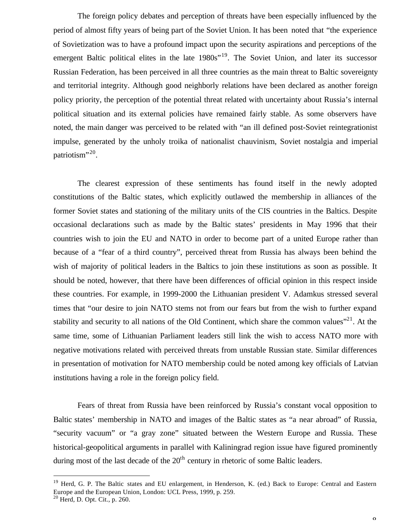The foreign policy debates and perception of threats have been especially influenced by the period of almost fifty years of being part of the Soviet Union. It has been noted that "the experience of Sovietization was to have a profound impact upon the security aspirations and perceptions of the emergent Baltic political elites in the late 1980s<sup>"19</sup>. The Soviet Union, and later its successor Russian Federation, has been perceived in all three countries as the main threat to Baltic sovereignty and territorial integrity. Although good neighborly relations have been declared as another foreign policy priority, the perception of the potential threat related with uncertainty about Russia's internal political situation and its external policies have remained fairly stable. As some observers have noted, the main danger was perceived to be related with "an ill defined post-Soviet reintegrationist impulse, generated by the unholy troika of nationalist chauvinism, Soviet nostalgia and imperial patriotism"<sup>20</sup>.

The clearest expression of these sentiments has found itself in the newly adopted constitutions of the Baltic states, which explicitly outlawed the membership in alliances of the former Soviet states and stationing of the military units of the CIS countries in the Baltics. Despite occasional declarations such as made by the Baltic states' presidents in May 1996 that their countries wish to join the EU and NATO in order to become part of a united Europe rather than because of a "fear of a third country", perceived threat from Russia has always been behind the wish of majority of political leaders in the Baltics to join these institutions as soon as possible. It should be noted, however, that there have been differences of official opinion in this respect inside these countries. For example, in 1999-2000 the Lithuanian president V. Adamkus stressed several times that "our desire to join NATO stems not from our fears but from the wish to further expand stability and security to all nations of the Old Continent, which share the common values $"^{21}$ . At the same time, some of Lithuanian Parliament leaders still link the wish to access NATO more with negative motivations related with perceived threats from unstable Russian state. Similar differences in presentation of motivation for NATO membership could be noted among key officials of Latvian institutions having a role in the foreign policy field.

Fears of threat from Russia have been reinforced by Russia's constant vocal opposition to Baltic states' membership in NATO and images of the Baltic states as "a near abroad" of Russia, "security vacuum" or "a gray zone" situated between the Western Europe and Russia. These historical-geopolitical arguments in parallel with Kaliningrad region issue have figured prominently during most of the last decade of the  $20<sup>th</sup>$  century in rhetoric of some Baltic leaders.

<sup>&</sup>lt;sup>19</sup> Herd, G. P. The Baltic states and EU enlargement, in Henderson, K. (ed.) Back to Europe: Central and Eastern Europe and the European Union, London: UCL Press, 1999, p. 259.

 $20$  Herd, D. Opt. Cit., p. 260.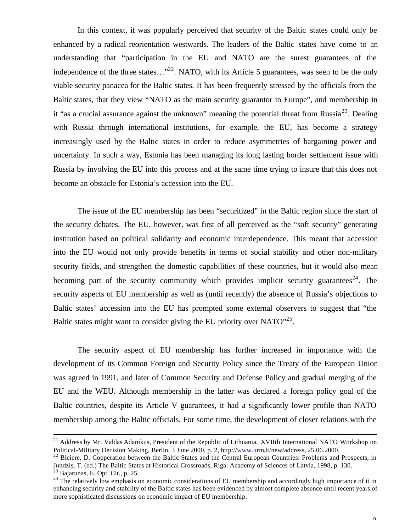In this context, it was popularly perceived that security of the Baltic states could only be enhanced by a radical reorientation westwards. The leaders of the Baltic states have come to an understanding that "participation in the EU and NATO are the surest guarantees of the independence of the three states..."<sup>22</sup>. NATO, with its Article 5 guarantees, was seen to be the only viable security panacea for the Baltic states. It has been frequently stressed by the officials from the Baltic states, that they view "NATO as the main security guarantor in Europe", and membership in it "as a crucial assurance against the unknown" meaning the potential threat from Russia<sup>23</sup>. Dealing with Russia through international institutions, for example, the EU, has become a strategy increasingly used by the Baltic states in order to reduce asymmetries of bargaining power and uncertainty. In such a way, Estonia has been managing its long lasting border settlement issue with Russia by involving the EU into this process and at the same time trying to insure that this does not become an obstacle for Estonia's accession into the EU.

The issue of the EU membership has been "securitized" in the Baltic region since the start of the security debates. The EU, however, was first of all perceived as the "soft security" generating institution based on political solidarity and economic interdependence. This meant that accession into the EU would not only provide benefits in terms of social stability and other non-military security fields, and strengthen the domestic capabilities of these countries, but it would also mean becoming part of the security community which provides implicit security guarantees<sup>24</sup>. The security aspects of EU membership as well as (until recently) the absence of Russia's objections to Baltic states' accession into the EU has prompted some external observers to suggest that "the Baltic states might want to consider giving the EU priority over  $NATO''^{25}$ .

The security aspect of EU membership has further increased in importance with the development of its Common Foreign and Security Policy since the Treaty of the European Union was agreed in 1991, and later of Common Security and Defense Policy and gradual merging of the EU and the WEU. Although membership in the latter was declared a foreign policy goal of the Baltic countries, despite its Article V guarantees, it had a significantly lower profile than NATO membership among the Baltic officials. For some time, the development of closer relations with the

<sup>&</sup>lt;sup>21</sup> Address by Mr. Valdas Adamkus, President of the Republic of Lithuania, XVIIth International NATO Workshop on Political-Military Decision Making, Berlin, 3 June 2000, p. 2, http://www.urm.lt/new/address, 25.06.2000.

<sup>&</sup>lt;sup>22</sup> Bleiere, D. Cooperation between the Baltic States and the Central European Countries: Problems and Prospects, in Jundzis, T. (ed.) The Baltic States at Historical Crossroads, Riga: Academy of Sciences of Latvia, 1998, p. 130.

<sup>23</sup> Bajarunas, E. Opt. Cit., p. 25.

<sup>&</sup>lt;sup>24</sup> The relatively low emphasis on economic considerations of EU membership and accordingly high importance of it in enhancing security and stability of the Baltic states has been evidenced by almost complete absence until recent years of more sophisticated discussions on economic impact of EU membership.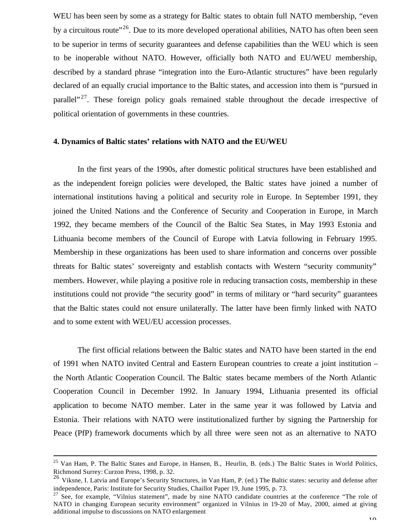WEU has been seen by some as a strategy for Baltic states to obtain full NATO membership, "even by a circuitous route<sup>"26</sup>. Due to its more developed operational abilities, NATO has often been seen to be superior in terms of security guarantees and defense capabilities than the WEU which is seen to be inoperable without NATO. However, officially both NATO and EU/WEU membership, described by a standard phrase "integration into the Euro-Atlantic structures" have been regularly declared of an equally crucial importance to the Baltic states, and accession into them is "pursued in parallel"<sup>27</sup>. These foreign policy goals remained stable throughout the decade irrespective of political orientation of governments in these countries.

#### **4. Dynamics of Baltic states' relations with NATO and the EU/WEU**

In the first years of the 1990s, after domestic political structures have been established and as the independent foreign policies were developed, the Baltic states have joined a number of international institutions having a political and security role in Europe. In September 1991, they joined the United Nations and the Conference of Security and Cooperation in Europe, in March 1992, they became members of the Council of the Baltic Sea States, in May 1993 Estonia and Lithuania become members of the Council of Europe with Latvia following in February 1995. Membership in these organizations has been used to share information and concerns over possible threats for Baltic states' sovereignty and establish contacts with Western "security community" members. However, while playing a positive role in reducing transaction costs, membership in these institutions could not provide "the security good" in terms of military or "hard security" guarantees that the Baltic states could not ensure unilaterally. The latter have been firmly linked with NATO and to some extent with WEU/EU accession processes.

The first official relations between the Baltic states and NATO have been started in the end of 1991 when NATO invited Central and Eastern European countries to create a joint institution – the North Atlantic Cooperation Council. The Baltic states became members of the North Atlantic Cooperation Council in December 1992. In January 1994, Lithuania presented its official application to become NATO member. Later in the same year it was followed by Latvia and Estonia. Their relations with NATO were institutionalized further by signing the Partnership for Peace (PfP) framework documents which by all three were seen not as an alternative to NATO

<sup>&</sup>lt;sup>25</sup> Van Ham, P. The Baltic States and Europe, in Hansen, B., Heurlin, B. (eds.) The Baltic States in World Politics, Richmond Surrey: Curzon Press, 1998, p. 32.

<sup>&</sup>lt;sup>26</sup> Viksne, I. Latvia and Europe's Security Structures, in Van Ham, P. (ed.) The Baltic states: security and defense after independence, Paris: Institute for Security Studies, Chaillot Paper 19, June 1995, p. 73.

<sup>&</sup>lt;sup>27</sup> See, for example, "Vilnius statement", made by nine NATO candidate countries at the conference "The role of NATO in changing European security environment" organized in Vilnius in 19-20 of May, 2000, aimed at giving additional impulse to discussions on NATO enlargement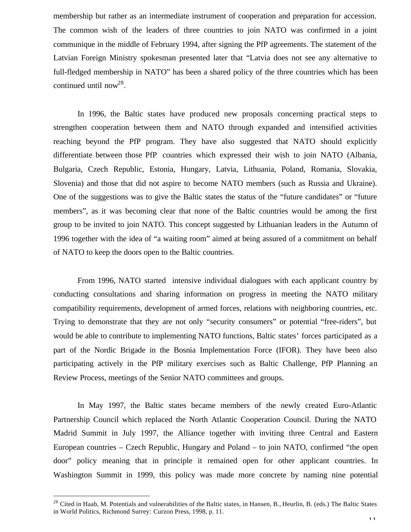membership but rather as an intermediate instrument of cooperation and preparation for accession. The common wish of the leaders of three countries to join NATO was confirmed in a joint communique in the middle of February 1994, after signing the PfP agreements. The statement of the Latvian Foreign Ministry spokesman presented later that "Latvia does not see any alternative to full-fledged membership in NATO" has been a shared policy of the three countries which has been continued until now<sup>28</sup>.

In 1996, the Baltic states have produced new proposals concerning practical steps to strengthen cooperation between them and NATO through expanded and intensified activities reaching beyond the PfP program. They have also suggested that NATO should explicitly differentiate between those PfP countries which expressed their wish to join NATO (Albania, Bulgaria, Czech Republic, Estonia, Hungary, Latvia, Lithuania, Poland, Romania, Slovakia, Slovenia) and those that did not aspire to become NATO members (such as Russia and Ukraine). One of the suggestions was to give the Baltic states the status of the "future candidates" or "future members", as it was becoming clear that none of the Baltic countries would be among the first group to be invited to join NATO. This concept suggested by Lithuanian leaders in the Autumn of 1996 together with the idea of "a waiting room" aimed at being assured of a commitment on behalf of NATO to keep the doors open to the Baltic countries.

From 1996, NATO started intensive individual dialogues with each applicant country by conducting consultations and sharing information on progress in meeting the NATO military compatibility requirements, development of armed forces, relations with neighboring countries, etc. Trying to demonstrate that they are not only "security consumers" or potential "free-riders", but would be able to contribute to implementing NATO functions, Baltic states' forces participated as a part of the Nordic Brigade in the Bosnia Implementation Force (IFOR). They have been also participating actively in the PfP military exercises such as Baltic Challenge, PfP Planning an Review Process, meetings of the Senior NATO committees and groups.

In May 1997, the Baltic states became members of the newly created Euro-Atlantic Partnership Council which replaced the North Atlantic Cooperation Council. During the NATO Madrid Summit in July 1997, the Alliance together with inviting three Central and Eastern European countries – Czech Republic, Hungary and Poland – to join NATO, confirmed "the open door" policy meaning that in principle it remained open for other applicant countries. In Washington Summit in 1999, this policy was made more concrete by naming nine potential

 $28$  Cited in Haab, M. Potentials and vulnerabilities of the Baltic states, in Hansen, B., Heurlin, B. (eds.) The Baltic States in World Politics, Richmond Surrey: Curzon Press, 1998, p. 11.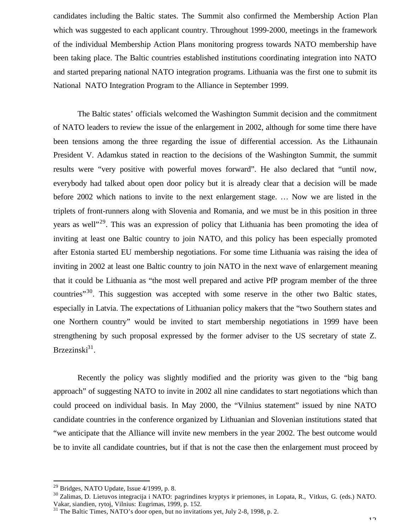candidates including the Baltic states. The Summit also confirmed the Membership Action Plan which was suggested to each applicant country. Throughout 1999-2000, meetings in the framework of the individual Membership Action Plans monitoring progress towards NATO membership have been taking place. The Baltic countries established institutions coordinating integration into NATO and started preparing national NATO integration programs. Lithuania was the first one to submit its National NATO Integration Program to the Alliance in September 1999.

The Baltic states' officials welcomed the Washington Summit decision and the commitment of NATO leaders to review the issue of the enlargement in 2002, although for some time there have been tensions among the three regarding the issue of differential accession. As the Lithaunain President V. Adamkus stated in reaction to the decisions of the Washington Summit, the summit results were "very positive with powerful moves forward". He also declared that "until now, everybody had talked about open door policy but it is already clear that a decision will be made before 2002 which nations to invite to the next enlargement stage. … Now we are listed in the triplets of front-runners along with Slovenia and Romania, and we must be in this position in three years as well"<sup>29</sup>. This was an expression of policy that Lithuania has been promoting the idea of inviting at least one Baltic country to join NATO, and this policy has been especially promoted after Estonia started EU membership negotiations. For some time Lithuania was raising the idea of inviting in 2002 at least one Baltic country to join NATO in the next wave of enlargement meaning that it could be Lithuania as "the most well prepared and active PfP program member of the three countries"<sup>30</sup>. This suggestion was accepted with some reserve in the other two Baltic states, especially in Latvia. The expectations of Lithuanian policy makers that the "two Southern states and one Northern country" would be invited to start membership negotiations in 1999 have been strengthening by such proposal expressed by the former adviser to the US secretary of state Z. Brzezinski<sup>31</sup>.

Recently the policy was slightly modified and the priority was given to the "big bang approach" of suggesting NATO to invite in 2002 all nine candidates to start negotiations which than could proceed on individual basis. In May 2000, the "Vilnius statement" issued by nine NATO candidate countries in the conference organized by Lithuanian and Slovenian institutions stated that "we anticipate that the Alliance will invite new members in the year 2002. The best outcome would be to invite all candidate countries, but if that is not the case then the enlargement must proceed by

 $^{29}$  Bridges, NATO Update, Issue 4/1999, p. 8.

<sup>30</sup> Zalimas, D. Lietuvos integracija i NATO: pagrindines kryptys ir priemones, in Lopata, R., Vitkus, G. (eds.) NATO. Vakar, siandien, rytoj, Vilnius: Eugrimas, 1999, p. 152.

<sup>&</sup>lt;sup>31</sup> The Baltic Times, NATO's door open, but no invitations yet, July 2-8, 1998, p. 2.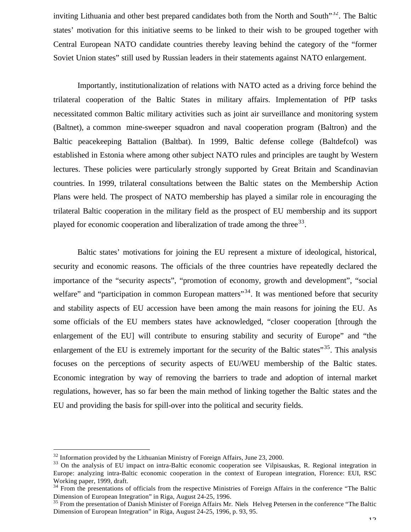inviting Lithuania and other best prepared candidates both from the North and South $32^2$ . The Baltic states' motivation for this initiative seems to be linked to their wish to be grouped together with Central European NATO candidate countries thereby leaving behind the category of the "former Soviet Union states" still used by Russian leaders in their statements against NATO enlargement.

Importantly, institutionalization of relations with NATO acted as a driving force behind the trilateral cooperation of the Baltic States in military affairs. Implementation of PfP tasks necessitated common Baltic military activities such as joint air surveillance and monitoring system (Baltnet), a common mine-sweeper squadron and naval cooperation program (Baltron) and the Baltic peacekeeping Battalion (Baltbat). In 1999, Baltic defense college (Baltdefcol) was established in Estonia where among other subject NATO rules and principles are taught by Western lectures. These policies were particularly strongly supported by Great Britain and Scandinavian countries. In 1999, trilateral consultations between the Baltic states on the Membership Action Plans were held. The prospect of NATO membership has played a similar role in encouraging the trilateral Baltic cooperation in the military field as the prospect of EU membership and its support played for economic cooperation and liberalization of trade among the three<sup>33</sup>.

Baltic states' motivations for joining the EU represent a mixture of ideological, historical, security and economic reasons. The officials of the three countries have repeatedly declared the importance of the "security aspects", "promotion of economy, growth and development", "social welfare" and "participation in common European matters"<sup>34</sup>. It was mentioned before that security and stability aspects of EU accession have been among the main reasons for joining the EU. As some officials of the EU members states have acknowledged, "closer cooperation [through the enlargement of the EU] will contribute to ensuring stability and security of Europe" and "the enlargement of the EU is extremely important for the security of the Baltic states"<sup>35</sup>. This analysis focuses on the perceptions of security aspects of EU/WEU membership of the Baltic states. Economic integration by way of removing the barriers to trade and adoption of internal market regulations, however, has so far been the main method of linking together the Baltic states and the EU and providing the basis for spill-over into the political and security fields.

 $32$  Information provided by the Lithuanian Ministry of Foreign Affairs, June 23, 2000.

<sup>&</sup>lt;sup>33</sup> On the analysis of EU impact on intra-Baltic economic cooperation see Vilpisauskas, R. Regional integration in Europe: analyzing intra-Baltic economic cooperation in the context of European integration, Florence: EUI, RSC Working paper, 1999, draft.

<sup>&</sup>lt;sup>34</sup> From the presentations of officials from the respective Ministries of Foreign Affairs in the conference "The Baltic Dimension of European Integration" in Riga, August 24-25, 1996.

<sup>&</sup>lt;sup>35</sup> From the presentation of Danish Minister of Foreign Affairs Mr. Niels Helveg Petersen in the conference "The Baltic Dimension of European Integration" in Riga, August 24-25, 1996, p. 93, 95.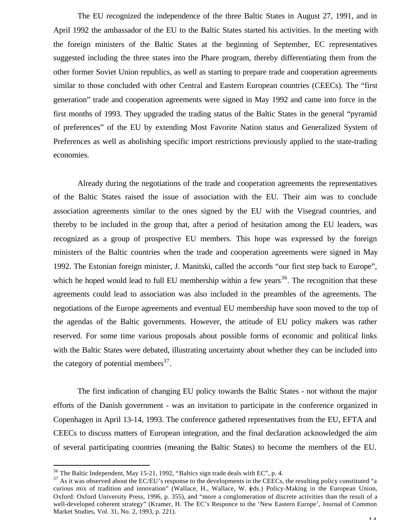The EU recognized the independence of the three Baltic States in August 27, 1991, and in April 1992 the ambassador of the EU to the Baltic States started his activities. In the meeting with the foreign ministers of the Baltic States at the beginning of September, EC representatives suggested including the three states into the Phare program, thereby differentiating them from the other former Soviet Union republics, as well as starting to prepare trade and cooperation agreements similar to those concluded with other Central and Eastern European countries (CEECs). The "first generation" trade and cooperation agreements were signed in May 1992 and came into force in the first months of 1993. They upgraded the trading status of the Baltic States in the general "pyramid of preferences" of the EU by extending Most Favorite Nation status and Generalized System of Preferences as well as abolishing specific import restrictions previously applied to the state-trading economies.

Already during the negotiations of the trade and cooperation agreements the representatives of the Baltic States raised the issue of association with the EU. Their aim was to conclude association agreements similar to the ones signed by the EU with the Visegrad countries, and thereby to be included in the group that, after a period of hesitation among the EU leaders, was recognized as a group of prospective EU members. This hope was expressed by the foreign ministers of the Baltic countries when the trade and cooperation agreements were signed in May 1992. The Estonian foreign minister, J. Manitski, called the accords "our first step back to Europe", which he hoped would lead to full EU membership within a few years<sup>36</sup>. The recognition that these agreements could lead to association was also included in the preambles of the agreements. The negotiations of the Europe agreements and eventual EU membership have soon moved to the top of the agendas of the Baltic governments. However, the attitude of EU policy makers was rather reserved. For some time various proposals about possible forms of economic and political links with the Baltic States were debated, illustrating uncertainty about whether they can be included into the category of potential members $^{37}$ .

The first indication of changing EU policy towards the Baltic States - not without the major efforts of the Danish government - was an invitation to participate in the conference organized in Copenhagen in April 13-14, 1993. The conference gathered representatives from the EU, EFTA and CEECs to discuss matters of European integration, and the final declaration acknowledged the aim of several participating countries (meaning the Baltic States) to become the members of the EU.

<sup>&</sup>lt;sup>36</sup> The Baltic Independent, May 15-21, 1992, "Baltics sign trade deals with EC", p. 4.

<sup>&</sup>lt;sup>37</sup> As it was observed about the EC/EU's response to the developments in the CEECs, the resulting policy constituted "a curious mix of tradition and innovation" (Wallace, H., Wallace, W. (eds.) Policy-Making in the European Union, Oxford: Oxford University Press, 1996, p. 355), and "more a conglomeration of discrete activities than the result of a well-developed coherent strategy" (Kramer, H. The EC's Responce to the 'New Eastern Europe', Journal of Common Market Studies, Vol. 31, No. 2, 1993, p. 221).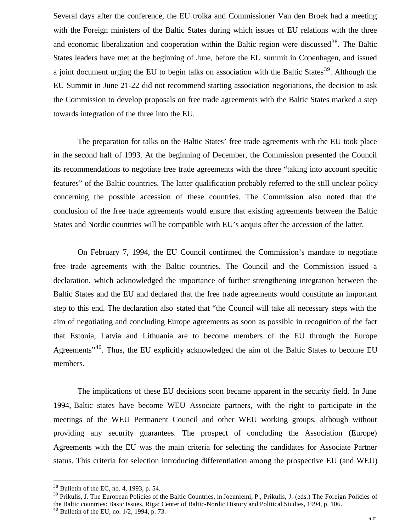Several days after the conference, the EU troika and Commissioner Van den Broek had a meeting with the Foreign ministers of the Baltic States during which issues of EU relations with the three and economic liberalization and cooperation within the Baltic region were discussed<sup>38</sup>. The Baltic States leaders have met at the beginning of June, before the EU summit in Copenhagen, and issued a joint document urging the EU to begin talks on association with the Baltic States<sup>39</sup>. Although the EU Summit in June 21-22 did not recommend starting association negotiations, the decision to ask the Commission to develop proposals on free trade agreements with the Baltic States marked a step towards integration of the three into the EU.

The preparation for talks on the Baltic States' free trade agreements with the EU took place in the second half of 1993. At the beginning of December, the Commission presented the Council its recommendations to negotiate free trade agreements with the three "taking into account specific features" of the Baltic countries. The latter qualification probably referred to the still unclear policy concerning the possible accession of these countries. The Commission also noted that the conclusion of the free trade agreements would ensure that existing agreements between the Baltic States and Nordic countries will be compatible with EU's acquis after the accession of the latter.

On February 7, 1994, the EU Council confirmed the Commission's mandate to negotiate free trade agreements with the Baltic countries. The Council and the Commission issued a declaration, which acknowledged the importance of further strengthening integration between the Baltic States and the EU and declared that the free trade agreements would constitute an important step to this end. The declaration also stated that "the Council will take all necessary steps with the aim of negotiating and concluding Europe agreements as soon as possible in recognition of the fact that Estonia, Latvia and Lithuania are to become members of the EU through the Europe Agreements<sup>"40</sup>. Thus, the EU explicitly acknowledged the aim of the Baltic States to become EU members.

The implications of these EU decisions soon became apparent in the security field. In June 1994, Baltic states have become WEU Associate partners, with the right to participate in the meetings of the WEU Permanent Council and other WEU working groups, although without providing any security guarantees. The prospect of concluding the Association (Europe) Agreements with the EU was the main criteria for selecting the candidates for Associate Partner status. This criteria for selection introducing differentiation among the prospective EU (and WEU)

 $38$  Bulletin of the EC, no. 4, 1993, p. 54.

<sup>&</sup>lt;sup>39</sup> Prikulis, J. The European Policies of the Baltic Countries, in Joenniemi, P., Prikulis, J. (eds.) The Foreign Policies of the Baltic countries: Basic Issues, Riga: Center of Baltic-Nordic History and Political Studies, 1994, p. 106.

 $40$  Bulletin of the EU, no. 1/2, 1994, p. 73.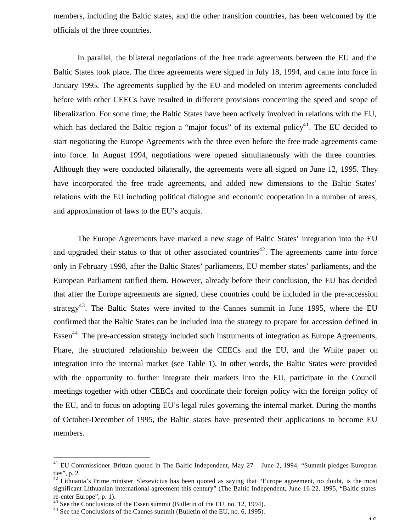members, including the Baltic states, and the other transition countries, has been welcomed by the officials of the three countries.

In parallel, the bilateral negotiations of the free trade agreements between the EU and the Baltic States took place. The three agreements were signed in July 18, 1994, and came into force in January 1995. The agreements supplied by the EU and modeled on interim agreements concluded before with other CEECs have resulted in different provisions concerning the speed and scope of liberalization. For some time, the Baltic States have been actively involved in relations with the EU, which has declared the Baltic region a "major focus" of its external policy<sup>41</sup>. The EU decided to start negotiating the Europe Agreements with the three even before the free trade agreements came into force. In August 1994, negotiations were opened simultaneously with the three countries. Although they were conducted bilaterally, the agreements were all signed on June 12, 1995. They have incorporated the free trade agreements, and added new dimensions to the Baltic States' relations with the EU including political dialogue and economic cooperation in a number of areas, and approximation of laws to the EU's acquis.

The Europe Agreements have marked a new stage of Baltic States' integration into the EU and upgraded their status to that of other associated countries<sup>42</sup>. The agreements came into force only in February 1998, after the Baltic States' parliaments, EU member states' parliaments, and the European Parliament ratified them. However, already before their conclusion, the EU has decided that after the Europe agreements are signed, these countries could be included in the pre-accession strategy<sup>43</sup>. The Baltic States were invited to the Cannes summit in June 1995, where the EU confirmed that the Baltic States can be included into the strategy to prepare for accession defined in Essen<sup>44</sup>. The pre-accession strategy included such instruments of integration as Europe Agreements, Phare, the structured relationship between the CEECs and the EU, and the White paper on integration into the internal market (see Table 1). In other words, the Baltic States were provided with the opportunity to further integrate their markets into the EU, participate in the Council meetings together with other CEECs and coordinate their foreign policy with the foreign policy of the EU, and to focus on adopting EU's legal rules governing the internal market. During the months of October-December of 1995, the Baltic states have presented their applications to become EU members.

<sup>&</sup>lt;sup>41</sup> EU Commissioner Brittan quoted in The Baltic Independent, May 27 - June 2, 1994, "Summit pledges European ties", p. 2.

 $42$  Lithuania's Prime minister Slezevicius has been quoted as saying that "Europe agreement, no doubt, is the most significant Lithuanian international agreement this century" (The Baltic Independent, June 16-22, 1995, "Baltic states re-enter Europe", p. 1).

 $43$  See the Conclusions of the Essen summit (Bulletin of the EU, no. 12, 1994).

<sup>44</sup> See the Conclusions of the Cannes summit (Bulletin of the EU, no. 6, 1995).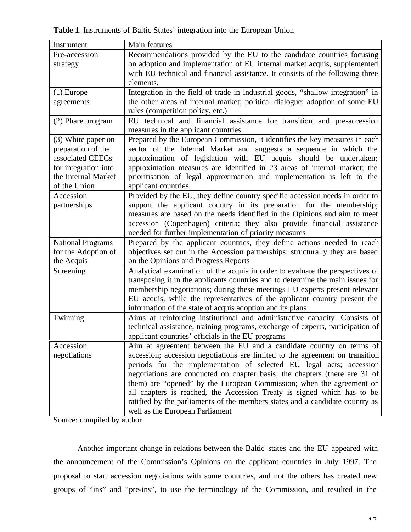**Table 1**. Instruments of Baltic States' integration into the European Union

| Instrument               | Main features                                                                   |
|--------------------------|---------------------------------------------------------------------------------|
| Pre-accession            | Recommendations provided by the EU to the candidate countries focusing          |
| strategy                 | on adoption and implementation of EU internal market acquis, supplemented       |
|                          | with EU technical and financial assistance. It consists of the following three  |
|                          | elements.                                                                       |
| $(1)$ Europe             | Integration in the field of trade in industrial goods, "shallow integration" in |
| agreements               | the other areas of internal market; political dialogue; adoption of some EU     |
|                          | rules (competition policy, etc.)                                                |
| (2) Phare program        | EU technical and financial assistance for transition and pre-accession          |
|                          | measures in the applicant countries                                             |
| (3) White paper on       | Prepared by the European Commission, it identifies the key measures in each     |
| preparation of the       | sector of the Internal Market and suggests a sequence in which the              |
| associated CEECs         | approximation of legislation with EU acquis should be undertaken;               |
| for integration into     | approximation measures are identified in 23 areas of internal market; the       |
| the Internal Market      | prioritisation of legal approximation and implementation is left to the         |
| of the Union             | applicant countries                                                             |
| Accession                | Provided by the EU, they define country specific accession needs in order to    |
| partnerships             | support the applicant country in its preparation for the membership;            |
|                          | measures are based on the needs identified in the Opinions and aim to meet      |
|                          | accession (Copenhagen) criteria; they also provide financial assistance         |
|                          | needed for further implementation of priority measures                          |
| <b>National Programs</b> | Prepared by the applicant countries, they define actions needed to reach        |
| for the Adoption of      | objectives set out in the Accession partnerships; structurally they are based   |
| the Acquis               | on the Opinions and Progress Reports                                            |
| Screening                | Analytical examination of the acquis in order to evaluate the perspectives of   |
|                          | transposing it in the applicants countries and to determine the main issues for |
|                          | membership negotiations; during these meetings EU experts present relevant      |
|                          | EU acquis, while the representatives of the applicant country present the       |
|                          | information of the state of acquis adoption and its plans                       |
| Twinning                 | Aims at reinforcing institutional and administrative capacity. Consists of      |
|                          | technical assistance, training programs, exchange of experts, participation of  |
|                          | applicant countries' officials in the EU programs                               |
| Accession                | Aim at agreement between the EU and a candidate country on terms of             |
| negotiations             | accession; accession negotiations are limited to the agreement on transition    |
|                          | periods for the implementation of selected EU legal acts; accession             |
|                          | negotiations are conducted on chapter basis; the chapters (there are 31 of      |
|                          | them) are "opened" by the European Commission; when the agreement on            |
|                          | all chapters is reached, the Accession Treaty is signed which has to be         |
|                          | ratified by the parliaments of the members states and a candidate country as    |
|                          | well as the European Parliament                                                 |

Source: compiled by author

Another important change in relations between the Baltic states and the EU appeared with the announcement of the Commission's Opinions on the applicant countries in July 1997. The proposal to start accession negotiations with some countries, and not the others has created new groups of "ins" and "pre-ins", to use the terminology of the Commission, and resulted in the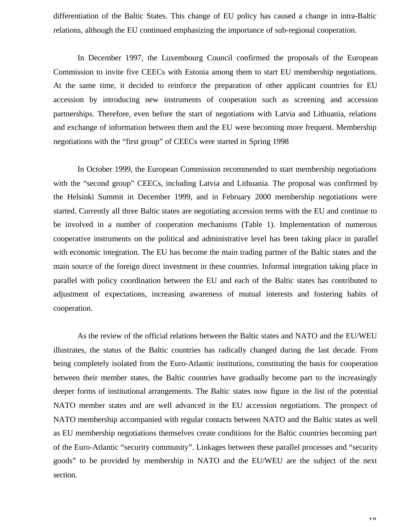differentiation of the Baltic States. This change of EU policy has caused a change in intra-Baltic relations, although the EU continued emphasizing the importance of sub-regional cooperation.

In December 1997, the Luxembourg Council confirmed the proposals of the European Commission to invite five CEECs with Estonia among them to start EU membership negotiations. At the same time, it decided to reinforce the preparation of other applicant countries for EU accession by introducing new instruments of cooperation such as screening and accession partnerships. Therefore, even before the start of negotiations with Latvia and Lithuania, relations and exchange of information between them and the EU were becoming more frequent. Membership negotiations with the "first group" of CEECs were started in Spring 1998

In October 1999, the European Commission recommended to start membership negotiations with the "second group" CEECs, including Latvia and Lithuania. The proposal was confirmed by the Helsinki Summit in December 1999, and in February 2000 membership negotiations were started. Currently all three Baltic states are negotiating accession terms with the EU and continue to be involved in a number of cooperation mechanisms (Table 1). Implementation of numerous cooperative instruments on the political and administrative level has been taking place in parallel with economic integration. The EU has become the main trading partner of the Baltic states and the main source of the foreign direct investment in these countries. Informal integration taking place in parallel with policy coordination between the EU and each of the Baltic states has contributed to adjustment of expectations, increasing awareness of mutual interests and fostering habits of cooperation.

As the review of the official relations between the Baltic states and NATO and the EU/WEU illustrates, the status of the Baltic countries has radically changed during the last decade. From being completely isolated from the Euro-Atlantic institutions, constituting the basis for cooperation between their member states, the Baltic countries have gradually become part to the increasingly deeper forms of institutional arrangements. The Baltic states now figure in the list of the potential NATO member states and are well advanced in the EU accession negotiations. The prospect of NATO membership accompanied with regular contacts between NATO and the Baltic states as well as EU membership negotiations themselves create conditions for the Baltic countries becoming part of the Euro-Atlantic "security community". Linkages between these parallel processes and "security goods" to be provided by membership in NATO and the EU/WEU are the subject of the next section.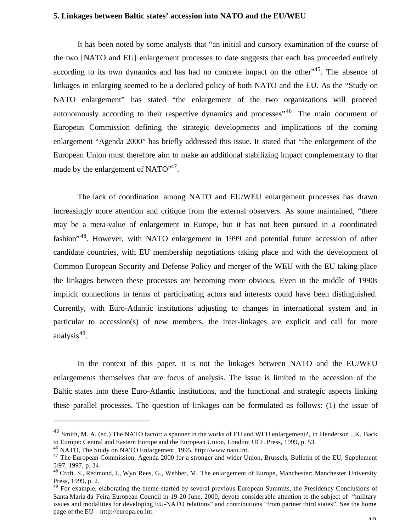#### **5. Linkages between Baltic states' accession into NATO and the EU/WEU**

It has been noted by some analysts that "an initial and cursory examination of the course of the two [NATO and EU] enlargement processes to date suggests that each has proceeded entirely according to its own dynamics and has had no concrete impact on the other<sup>345</sup>. The absence of linkages in enlarging seemed to be a declared policy of both NATO and the EU. As the "Study on NATO enlargement" has stated "the enlargement of the two organizations will proceed autonomously according to their respective dynamics and processes<sup>"46</sup>. The main document of European Commission defining the strategic developments and implications of the coming enlargement "Agenda 2000" has briefly addressed this issue. It stated that "the enlargement of the European Union must therefore aim to make an additional stabilizing impact complementary to that made by the enlargement of NATO $^{47}$ .

The lack of coordination among NATO and EU/WEU enlargement processes has drawn increasingly more attention and critique from the external observers. As some maintained, "there may be a meta-value of enlargement in Europe, but it has not been pursued in a coordinated fashion<sup>"48</sup>. However, with NATO enlargement in 1999 and potential future accession of other candidate countries, with EU membership negotiations taking place and with the development of Common European Security and Defense Policy and merger of the WEU with the EU taking place the linkages between these processes are becoming more obvious. Even in the middle of 1990s implicit connections in terms of participating actors and interests could have been distinguished. Currently, with Euro-Atlantic institutions adjusting to changes in international system and in particular to accession(s) of new members, the inter-linkages are explicit and call for more analysis<sup>49</sup>.

In the context of this paper, it is not the linkages between NATO and the EU/WEU enlargements themselves that are focus of analysis. The issue is limited to the accession of the Baltic states into these Euro-Atlantic institutions, and the functional and strategic aspects linking these parallel processes. The question of linkages can be formulated as follows: (1) the issue of

<sup>45</sup> Smith, M. A. (ed.) The NATO factor: a spanner in the works of EU and WEU enlargement?, in Henderson , K. Back to Europe: Central and Eastern Europe and the European Union, London: UCL Press, 1999, p. 53.

<sup>46</sup> NATO, The Study on NATO Enlargement, 1995, http://www.nato.int.

<sup>&</sup>lt;sup>47</sup> The European Commission, Agenda 2000 for a stronger and wider Union, Brussels, Bulletin of the EU, Supplement 5/97, 1997, p. 34.

<sup>&</sup>lt;sup>48</sup> Croft, S., Redmond, J., Wyn Rees, G., Webber, M. The enlargement of Europe, Manchester; Manchester University Press, 1999, p. 2.

<sup>&</sup>lt;sup>49</sup> For example, elaborating the theme started by several previous European Summits, the Presidency Conclusions of Santa Maria da Feira European Council in 19-20 June, 2000, devote considerable attention to the subject of "military issues and modalities for developing EU-NATO relations" and contributions "from partner third states". See the home page of the EU – http://europa.eu.int.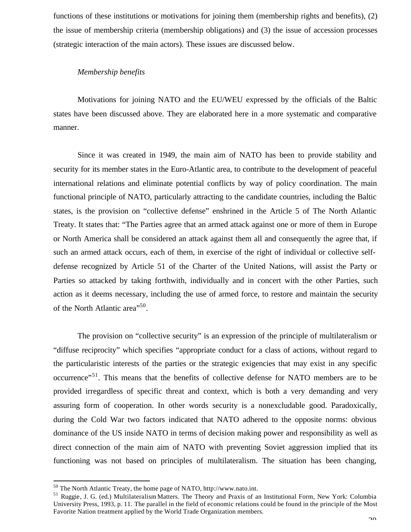functions of these institutions or motivations for joining them (membership rights and benefits), (2) the issue of membership criteria (membership obligations) and (3) the issue of accession processes (strategic interaction of the main actors). These issues are discussed below.

#### *Membership benefits*

Motivations for joining NATO and the EU/WEU expressed by the officials of the Baltic states have been discussed above. They are elaborated here in a more systematic and comparative manner.

Since it was created in 1949, the main aim of NATO has been to provide stability and security for its member states in the Euro-Atlantic area, to contribute to the development of peaceful international relations and eliminate potential conflicts by way of policy coordination. The main functional principle of NATO, particularly attracting to the candidate countries, including the Baltic states, is the provision on "collective defense" enshrined in the Article 5 of The North Atlantic Treaty. It states that: "The Parties agree that an armed attack against one or more of them in Europe or North America shall be considered an attack against them all and consequently the agree that, if such an armed attack occurs, each of them, in exercise of the right of individual or collective selfdefense recognized by Article 51 of the Charter of the United Nations, will assist the Party or Parties so attacked by taking forthwith, individually and in concert with the other Parties, such action as it deems necessary, including the use of armed force, to restore and maintain the security of the North Atlantic area<sup>"50</sup>.

The provision on "collective security" is an expression of the principle of multilateralism or "diffuse reciprocity" which specifies "appropriate conduct for a class of actions, without regard to the particularistic interests of the parties or the strategic exigencies that may exist in any specific occurrence"<sup>51</sup>. This means that the benefits of collective defense for NATO members are to be provided irregardless of specific threat and context, which is both a very demanding and very assuring form of cooperation. In other words security is a nonexcludable good. Paradoxically, during the Cold War two factors indicated that NATO adhered to the opposite norms: obvious dominance of the US inside NATO in terms of decision making power and responsibility as well as direct connection of the main aim of NATO with preventing Soviet aggression implied that its functioning was not based on principles of multilateralism. The situation has been changing,

 $50$  The North Atlantic Treaty, the home page of NATO, http://www.nato.int.

<sup>51</sup> Ruggie, J. G. (ed.) Multilateralism Matters. The Theory and Praxis of an Institutional Form, New York: Columbia University Press, 1993, p. 11. The parallel in the field of economic relations could be found in the principle of the Most Favorite Nation treatment applied by the World Trade Organization members.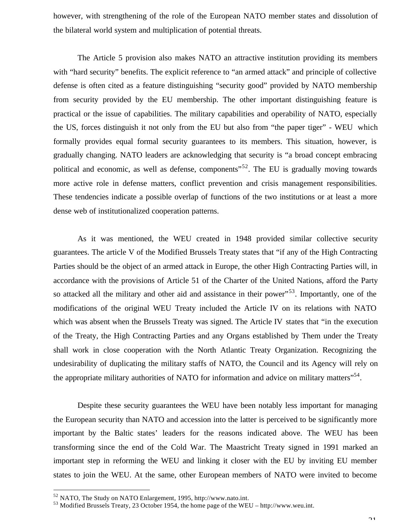however, with strengthening of the role of the European NATO member states and dissolution of the bilateral world system and multiplication of potential threats.

The Article 5 provision also makes NATO an attractive institution providing its members with "hard security" benefits. The explicit reference to "an armed attack" and principle of collective defense is often cited as a feature distinguishing "security good" provided by NATO membership from security provided by the EU membership. The other important distinguishing feature is practical or the issue of capabilities. The military capabilities and operability of NATO, especially the US, forces distinguish it not only from the EU but also from "the paper tiger" - WEU which formally provides equal formal security guarantees to its members. This situation, however, is gradually changing. NATO leaders are acknowledging that security is "a broad concept embracing political and economic, as well as defense, components" $52$ . The EU is gradually moving towards more active role in defense matters, conflict prevention and crisis management responsibilities. These tendencies indicate a possible overlap of functions of the two institutions or at least a more dense web of institutionalized cooperation patterns.

As it was mentioned, the WEU created in 1948 provided similar collective security guarantees. The article V of the Modified Brussels Treaty states that "if any of the High Contracting Parties should be the object of an armed attack in Europe, the other High Contracting Parties will, in accordance with the provisions of Article 51 of the Charter of the United Nations, afford the Party so attacked all the military and other aid and assistance in their power<sup>"53</sup>. Importantly, one of the modifications of the original WEU Treaty included the Article IV on its relations with NATO which was absent when the Brussels Treaty was signed. The Article IV states that "in the execution of the Treaty, the High Contracting Parties and any Organs established by Them under the Treaty shall work in close cooperation with the North Atlantic Treaty Organization. Recognizing the undesirability of duplicating the military staffs of NATO, the Council and its Agency will rely on the appropriate military authorities of NATO for information and advice on military matters"<sup>54</sup>.

Despite these security guarantees the WEU have been notably less important for managing the European security than NATO and accession into the latter is perceived to be significantly more important by the Baltic states' leaders for the reasons indicated above. The WEU has been transforming since the end of the Cold War. The Maastricht Treaty signed in 1991 marked an important step in reforming the WEU and linking it closer with the EU by inviting EU member states to join the WEU. At the same, other European members of NATO were invited to become

<sup>52</sup> NATO, The Study on NATO Enlargement, 1995, http://www.nato.int.

<sup>53</sup> Modified Brussels Treaty, 23 October 1954, the home page of the WEU – http://www.weu.int.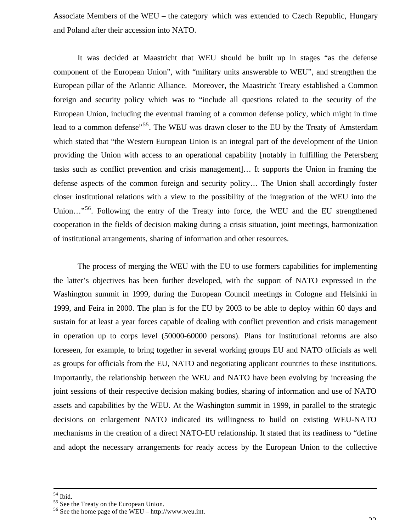Associate Members of the WEU – the category which was extended to Czech Republic, Hungary and Poland after their accession into NATO.

It was decided at Maastricht that WEU should be built up in stages "as the defense component of the European Union", with "military units answerable to WEU", and strengthen the European pillar of the Atlantic Alliance. Moreover, the Maastricht Treaty established a Common foreign and security policy which was to "include all questions related to the security of the European Union, including the eventual framing of a common defense policy, which might in time lead to a common defense<sup>"55</sup>. The WEU was drawn closer to the EU by the Treaty of Amsterdam which stated that "the Western European Union is an integral part of the development of the Union providing the Union with access to an operational capability [notably in fulfilling the Petersberg tasks such as conflict prevention and crisis management]… It supports the Union in framing the defense aspects of the common foreign and security policy… The Union shall accordingly foster closer institutional relations with a view to the possibility of the integration of the WEU into the Union..."<sup>56</sup>. Following the entry of the Treaty into force, the WEU and the EU strengthened cooperation in the fields of decision making during a crisis situation, joint meetings, harmonization of institutional arrangements, sharing of information and other resources.

The process of merging the WEU with the EU to use formers capabilities for implementing the latter's objectives has been further developed, with the support of NATO expressed in the Washington summit in 1999, during the European Council meetings in Cologne and Helsinki in 1999, and Feira in 2000. The plan is for the EU by 2003 to be able to deploy within 60 days and sustain for at least a year forces capable of dealing with conflict prevention and crisis management in operation up to corps level (50000-60000 persons). Plans for institutional reforms are also foreseen, for example, to bring together in several working groups EU and NATO officials as well as groups for officials from the EU, NATO and negotiating applicant countries to these institutions. Importantly, the relationship between the WEU and NATO have been evolving by increasing the joint sessions of their respective decision making bodies, sharing of information and use of NATO assets and capabilities by the WEU. At the Washington summit in 1999, in parallel to the strategic decisions on enlargement NATO indicated its willingness to build on existing WEU-NATO mechanisms in the creation of a direct NATO-EU relationship. It stated that its readiness to "define and adopt the necessary arrangements for ready access by the European Union to the collective

 $54$  Ibid.

<sup>&</sup>lt;sup>55</sup> See the Treaty on the European Union.

 $56$  See the home page of the WEU – http://www.weu.int.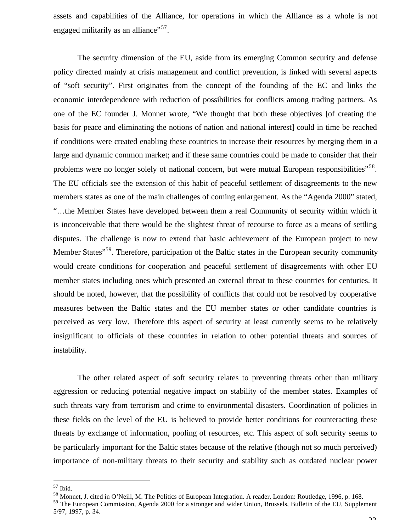assets and capabilities of the Alliance, for operations in which the Alliance as a whole is not engaged militarily as an alliance"<sup>57</sup>.

The security dimension of the EU, aside from its emerging Common security and defense policy directed mainly at crisis management and conflict prevention, is linked with several aspects of "soft security". First originates from the concept of the founding of the EC and links the economic interdependence with reduction of possibilities for conflicts among trading partners. As one of the EC founder J. Monnet wrote, "We thought that both these objectives [of creating the basis for peace and eliminating the notions of nation and national interest] could in time be reached if conditions were created enabling these countries to increase their resources by merging them in a large and dynamic common market; and if these same countries could be made to consider that their problems were no longer solely of national concern, but were mutual European responsibilities"<sup>58</sup>. The EU officials see the extension of this habit of peaceful settlement of disagreements to the new members states as one of the main challenges of coming enlargement. As the "Agenda 2000" stated, "…the Member States have developed between them a real Community of security within which it is inconceivable that there would be the slightest threat of recourse to force as a means of settling disputes. The challenge is now to extend that basic achievement of the European project to new Member States"<sup>59</sup>. Therefore, participation of the Baltic states in the European security community would create conditions for cooperation and peaceful settlement of disagreements with other EU member states including ones which presented an external threat to these countries for centuries. It should be noted, however, that the possibility of conflicts that could not be resolved by cooperative measures between the Baltic states and the EU member states or other candidate countries is perceived as very low. Therefore this aspect of security at least currently seems to be relatively insignificant to officials of these countries in relation to other potential threats and sources of instability.

The other related aspect of soft security relates to preventing threats other than military aggression or reducing potential negative impact on stability of the member states. Examples of such threats vary from terrorism and crime to environmental disasters. Coordination of policies in these fields on the level of the EU is believed to provide better conditions for counteracting these threats by exchange of information, pooling of resources, etc. This aspect of soft security seems to be particularly important for the Baltic states because of the relative (though not so much perceived) importance of non-military threats to their security and stability such as outdated nuclear power

 $57$  Ibid.

<sup>&</sup>lt;sup>58</sup> Monnet, J. cited in O'Neill, M. The Politics of European Integration. A reader, London: Routledge, 1996, p. 168.

<sup>59</sup> The European Commission, Agenda 2000 for a stronger and wider Union, Brussels, Bulletin of the EU, Supplement 5/97, 1997, p. 34.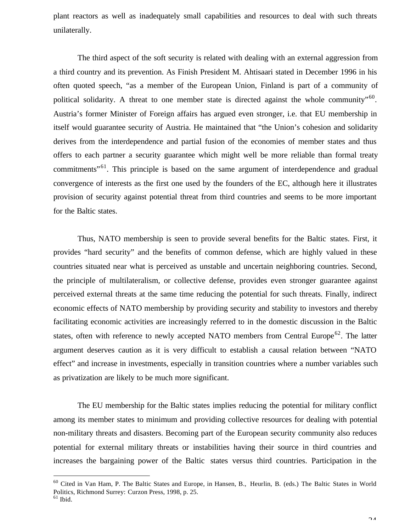plant reactors as well as inadequately small capabilities and resources to deal with such threats unilaterally.

The third aspect of the soft security is related with dealing with an external aggression from a third country and its prevention. As Finish President M. Ahtisaari stated in December 1996 in his often quoted speech, "as a member of the European Union, Finland is part of a community of political solidarity. A threat to one member state is directed against the whole community"<sup>60</sup>. Austria's former Minister of Foreign affairs has argued even stronger, i.e. that EU membership in itself would guarantee security of Austria. He maintained that "the Union's cohesion and solidarity derives from the interdependence and partial fusion of the economies of member states and thus offers to each partner a security guarantee which might well be more reliable than formal treaty commitments"<sup>61</sup>. This principle is based on the same argument of interdependence and gradual convergence of interests as the first one used by the founders of the EC, although here it illustrates provision of security against potential threat from third countries and seems to be more important for the Baltic states.

Thus, NATO membership is seen to provide several benefits for the Baltic states. First, it provides "hard security" and the benefits of common defense, which are highly valued in these countries situated near what is perceived as unstable and uncertain neighboring countries. Second, the principle of multilateralism, or collective defense, provides even stronger guarantee against perceived external threats at the same time reducing the potential for such threats. Finally, indirect economic effects of NATO membership by providing security and stability to investors and thereby facilitating economic activities are increasingly referred to in the domestic discussion in the Baltic states, often with reference to newly accepted NATO members from Central Europe<sup>62</sup>. The latter argument deserves caution as it is very difficult to establish a causal relation between "NATO effect" and increase in investments, especially in transition countries where a number variables such as privatization are likely to be much more significant.

The EU membership for the Baltic states implies reducing the potential for military conflict among its member states to minimum and providing collective resources for dealing with potential non-military threats and disasters. Becoming part of the European security community also reduces potential for external military threats or instabilities having their source in third countries and increases the bargaining power of the Baltic states versus third countries. Participation in the

<sup>&</sup>lt;sup>60</sup> Cited in Van Ham, P. The Baltic States and Europe, in Hansen, B., Heurlin, B. (eds.) The Baltic States in World Politics, Richmond Surrey: Curzon Press, 1998, p. 25.

 $61$  Ibid.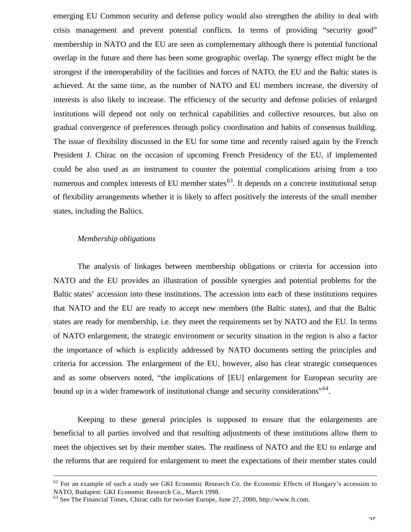emerging EU Common security and defense policy would also strengthen the ability to deal with crisis management and prevent potential conflicts. In terms of providing "security good" membership in NATO and the EU are seen as complementary although there is potential functional overlap in the future and there has been some geographic overlap. The synergy effect might be the strongest if the interoperability of the facilities and forces of NATO, the EU and the Baltic states is achieved. At the same time, as the number of NATO and EU members increase, the diversity of interests is also likely to increase. The efficiency of the security and defense policies of enlarged institutions will depend not only on technical capabilities and collective resources, but also on gradual convergence of preferences through policy coordination and habits of consensus building. The issue of flexibility discussed in the EU for some time and recently raised again by the French President J. Chirac on the occasion of upcoming French Presidency of the EU, if implemented could be also used as an instrument to counter the potential complications arising from a too numerous and complex interests of EU member states<sup> $63$ </sup>. It depends on a concrete institutional setup of flexibility arrangements whether it is likely to affect positively the interests of the small member states, including the Baltics.

#### *Membership obligations*

 $\overline{a}$ 

The analysis of linkages between membership obligations or criteria for accession into NATO and the EU provides an illustration of possible synergies and potential problems for the Baltic states' accession into these institutions. The accession into each of these institutions requires that NATO and the EU are ready to accept new members (the Baltic states), and that the Baltic states are ready for membership, i.e. they meet the requirements set by NATO and the EU. In terms of NATO enlargement, the strategic environment or security situation in the region is also a factor the importance of which is explicitly addressed by NATO documents setting the principles and criteria for accession. The enlargement of the EU, however, also has clear strategic consequences and as some observers noted, "the implications of [EU] enlargement for European security are bound up in a wider framework of institutional change and security considerations"<sup>64</sup>.

Keeping to these general principles is supposed to ensure that the enlargements are beneficial to all parties involved and that resulting adjustments of these institutions allow them to meet the objectives set by their member states. The readiness of NATO and the EU to enlarge and the reforms that are required for enlargement to meet the expectations of their member states could

 $62$  For an example of such a study see GKI Economic Research Co. the Economic Effects of Hungary's accession to NATO, Budapest: GKI Economic Research Co., March 1998.

<sup>63</sup> See The Financial Times, Chirac calls for two-tier Europe, June 27, 2000, http://www.ft.com.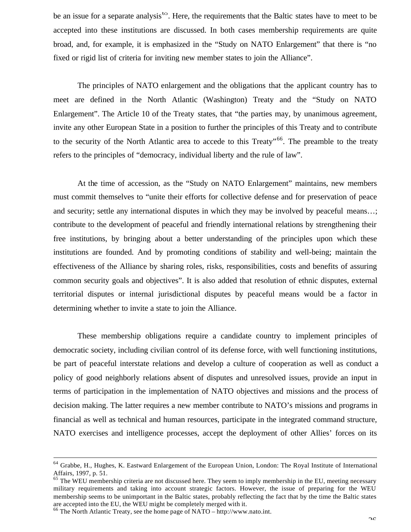be an issue for a separate analysis<sup>65</sup>. Here, the requirements that the Baltic states have to meet to be accepted into these institutions are discussed. In both cases membership requirements are quite broad, and, for example, it is emphasized in the "Study on NATO Enlargement" that there is "no fixed or rigid list of criteria for inviting new member states to join the Alliance".

The principles of NATO enlargement and the obligations that the applicant country has to meet are defined in the North Atlantic (Washington) Treaty and the "Study on NATO Enlargement". The Article 10 of the Treaty states, that "the parties may, by unanimous agreement, invite any other European State in a position to further the principles of this Treaty and to contribute to the security of the North Atlantic area to accede to this Treaty<sup>"66</sup>. The preamble to the treaty refers to the principles of "democracy, individual liberty and the rule of law".

At the time of accession, as the "Study on NATO Enlargement" maintains, new members must commit themselves to "unite their efforts for collective defense and for preservation of peace and security; settle any international disputes in which they may be involved by peaceful means…; contribute to the development of peaceful and friendly international relations by strengthening their free institutions, by bringing about a better understanding of the principles upon which these institutions are founded. And by promoting conditions of stability and well-being; maintain the effectiveness of the Alliance by sharing roles, risks, responsibilities, costs and benefits of assuring common security goals and objectives". It is also added that resolution of ethnic disputes, external territorial disputes or internal jurisdictional disputes by peaceful means would be a factor in determining whether to invite a state to join the Alliance.

These membership obligations require a candidate country to implement principles of democratic society, including civilian control of its defense force, with well functioning institutions, be part of peaceful interstate relations and develop a culture of cooperation as well as conduct a policy of good neighborly relations absent of disputes and unresolved issues, provide an input in terms of participation in the implementation of NATO objectives and missions and the process of decision making. The latter requires a new member contribute to NATO's missions and programs in financial as well as technical and human resources, participate in the integrated command structure, NATO exercises and intelligence processes, accept the deployment of other Allies' forces on its

<sup>&</sup>lt;sup>64</sup> Grabbe, H., Hughes, K. Eastward Enlargement of the European Union, London: The Royal Institute of International Affairs, 1997, p. 51.

<sup>&</sup>lt;sup>65</sup> The WEU membership criteria are not discussed here. They seem to imply membership in the EU, meeting necessary military requirements and taking into account strategic factors. However, the issue of preparing for the WEU membership seems to be unimportant in the Baltic states, probably reflecting the fact that by the time the Baltic states are accepted into the EU, the WEU might be completely merged with it.

<sup>66</sup> The North Atlantic Treaty, see the home page of NATO – http://www.nato.int.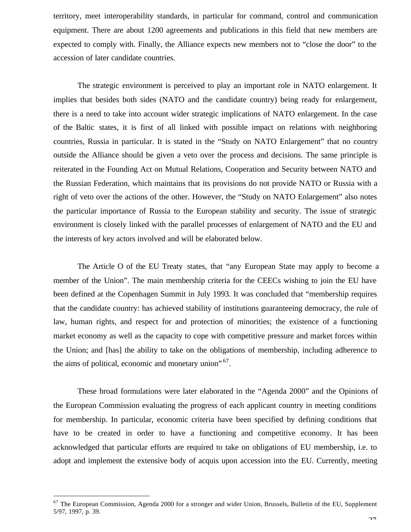territory, meet interoperability standards, in particular for command, control and communication equipment. There are about 1200 agreements and publications in this field that new members are expected to comply with. Finally, the Alliance expects new members not to "close the door" to the accession of later candidate countries.

The strategic environment is perceived to play an important role in NATO enlargement. It implies that besides both sides (NATO and the candidate country) being ready for enlargement, there is a need to take into account wider strategic implications of NATO enlargement. In the case of the Baltic states, it is first of all linked with possible impact on relations with neighboring countries, Russia in particular. It is stated in the "Study on NATO Enlargement" that no country outside the Alliance should be given a veto over the process and decisions. The same principle is reiterated in the Founding Act on Mutual Relations, Cooperation and Security between NATO and the Russian Federation, which maintains that its provisions do not provide NATO or Russia with a right of veto over the actions of the other. However, the "Study on NATO Enlargement" also notes the particular importance of Russia to the European stability and security. The issue of strategic environment is closely linked with the parallel processes of enlargement of NATO and the EU and the interests of key actors involved and will be elaborated below.

The Article O of the EU Treaty states, that "any European State may apply to become a member of the Union". The main membership criteria for the CEECs wishing to join the EU have been defined at the Copenhagen Summit in July 1993. It was concluded that "membership requires that the candidate country: has achieved stability of institutions guaranteeing democracy, the rule of law, human rights, and respect for and protection of minorities; the existence of a functioning market economy as well as the capacity to cope with competitive pressure and market forces within the Union; and [has] the ability to take on the obligations of membership, including adherence to the aims of political, economic and monetary union"<sup>67</sup>.

These broad formulations were later elaborated in the "Agenda 2000" and the Opinions of the European Commission evaluating the progress of each applicant country in meeting conditions for membership. In particular, economic criteria have been specified by defining conditions that have to be created in order to have a functioning and competitive economy. It has been acknowledged that particular efforts are required to take on obligations of EU membership, i.e. to adopt and implement the extensive body of acquis upon accession into the EU. Currently, meeting

<sup>&</sup>lt;sup>67</sup> The European Commission, Agenda 2000 for a stronger and wider Union, Brussels, Bulletin of the EU, Supplement 5/97, 1997, p. 39.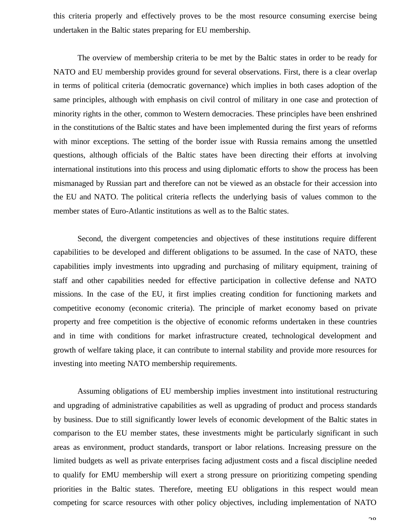this criteria properly and effectively proves to be the most resource consuming exercise being undertaken in the Baltic states preparing for EU membership.

The overview of membership criteria to be met by the Baltic states in order to be ready for NATO and EU membership provides ground for several observations. First, there is a clear overlap in terms of political criteria (democratic governance) which implies in both cases adoption of the same principles, although with emphasis on civil control of military in one case and protection of minority rights in the other, common to Western democracies. These principles have been enshrined in the constitutions of the Baltic states and have been implemented during the first years of reforms with minor exceptions. The setting of the border issue with Russia remains among the unsettled questions, although officials of the Baltic states have been directing their efforts at involving international institutions into this process and using diplomatic efforts to show the process has been mismanaged by Russian part and therefore can not be viewed as an obstacle for their accession into the EU and NATO. The political criteria reflects the underlying basis of values common to the member states of Euro-Atlantic institutions as well as to the Baltic states.

Second, the divergent competencies and objectives of these institutions require different capabilities to be developed and different obligations to be assumed. In the case of NATO, these capabilities imply investments into upgrading and purchasing of military equipment, training of staff and other capabilities needed for effective participation in collective defense and NATO missions. In the case of the EU, it first implies creating condition for functioning markets and competitive economy (economic criteria). The principle of market economy based on private property and free competition is the objective of economic reforms undertaken in these countries and in time with conditions for market infrastructure created, technological development and growth of welfare taking place, it can contribute to internal stability and provide more resources for investing into meeting NATO membership requirements.

Assuming obligations of EU membership implies investment into institutional restructuring and upgrading of administrative capabilities as well as upgrading of product and process standards by business. Due to still significantly lower levels of economic development of the Baltic states in comparison to the EU member states, these investments might be particularly significant in such areas as environment, product standards, transport or labor relations. Increasing pressure on the limited budgets as well as private enterprises facing adjustment costs and a fiscal discipline needed to qualify for EMU membership will exert a strong pressure on prioritizing competing spending priorities in the Baltic states. Therefore, meeting EU obligations in this respect would mean competing for scarce resources with other policy objectives, including implementation of NATO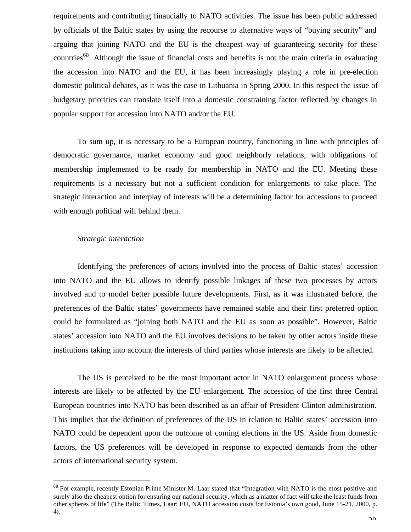requirements and contributing financially to NATO activities. The issue has been public addressed by officials of the Baltic states by using the recourse to alternative ways of "buying security" and arguing that joining NATO and the EU is the cheapest way of guaranteeing security for these countries<sup>68</sup>. Although the issue of financial costs and benefits is not the main criteria in evaluating the accession into NATO and the EU, it has been increasingly playing a role in pre-election domestic political debates, as it was the case in Lithuania in Spring 2000. In this respect the issue of budgetary priorities can translate itself into a domestic constraining factor reflected by changes in popular support for accession into NATO and/or the EU.

To sum up, it is necessary to be a European country, functioning in line with principles of democratic governance, market economy and good neighborly relations, with obligations of membership implemented to be ready for membership in NATO and the EU. Meeting these requirements is a necessary but not a sufficient condition for enlargements to take place. The strategic interaction and interplay of interests will be a determining factor for accessions to proceed with enough political will behind them.

#### *Strategic interaction*

 $\overline{a}$ 

Identifying the preferences of actors involved into the process of Baltic states' accession into NATO and the EU allows to identify possible linkages of these two processes by actors involved and to model better possible future developments. First, as it was illustrated before, the preferences of the Baltic states' governments have remained stable and their first preferred option could be formulated as "joining both NATO and the EU as soon as possible". However, Baltic states' accession into NATO and the EU involves decisions to be taken by other actors inside these institutions taking into account the interests of third parties whose interests are likely to be affected.

The US is perceived to be the most important actor in NATO enlargement process whose interests are likely to be affected by the EU enlargement. The accession of the first three Central European countries into NATO has been described as an affair of President Clinton administration. This implies that the definition of preferences of the US in relation to Baltic states' accession into NATO could be dependent upon the outcome of coming elections in the US. Aside from domestic factors, the US preferences will be developed in response to expected demands from the other actors of international security system.

<sup>&</sup>lt;sup>68</sup> For example, recently Estonian Prime Minister M. Laar stated that "Integration with NATO is the most positive and surely also the cheapest option for ensuring our national security, which as a matter of fact will take the least funds from other spheres of life" (The Baltic Times, Laar: EU, NATO accession costs for Estonia's own good, June 15-21, 2000, p. 4).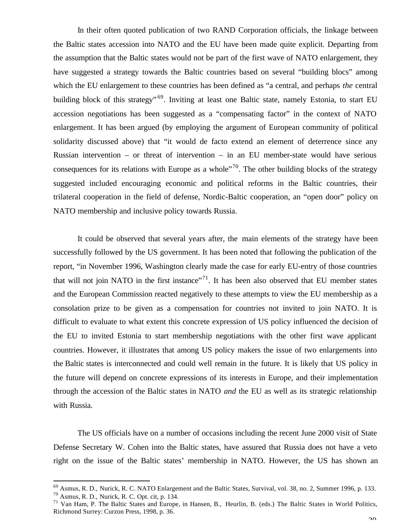In their often quoted publication of two RAND Corporation officials, the linkage between the Baltic states accession into NATO and the EU have been made quite explicit. Departing from the assumption that the Baltic states would not be part of the first wave of NATO enlargement, they have suggested a strategy towards the Baltic countries based on several "building blocs" among which the EU enlargement to these countries has been defined as "a central, and perhaps *the* central building block of this strategy"<sup>69</sup>. Inviting at least one Baltic state, namely Estonia, to start EU accession negotiations has been suggested as a "compensating factor" in the context of NATO enlargement. It has been argued (by employing the argument of European community of political solidarity discussed above) that "it would de facto extend an element of deterrence since any Russian intervention – or threat of intervention – in an EU member-state would have serious consequences for its relations with Europe as a whole"<sup>70</sup>. The other building blocks of the strategy suggested included encouraging economic and political reforms in the Baltic countries, their trilateral cooperation in the field of defense, Nordic-Baltic cooperation, an "open door" policy on NATO membership and inclusive policy towards Russia.

It could be observed that several years after, the main elements of the strategy have been successfully followed by the US government. It has been noted that following the publication of the report, "in November 1996, Washington clearly made the case for early EU-entry of those countries that will not join NATO in the first instance"<sup>71</sup>. It has been also observed that EU member states and the European Commission reacted negatively to these attempts to view the EU membership as a consolation prize to be given as a compensation for countries not invited to join NATO. It is difficult to evaluate to what extent this concrete expression of US policy influenced the decision of the EU to invited Estonia to start membership negotiations with the other first wave applicant countries. However, it illustrates that among US policy makers the issue of two enlargements into the Baltic states is interconnected and could well remain in the future. It is likely that US policy in the future will depend on concrete expressions of its interests in Europe, and their implementation through the accession of the Baltic states in NATO *and* the EU as well as its strategic relationship with Russia.

The US officials have on a number of occasions including the recent June 2000 visit of State Defense Secretary W. Cohen into the Baltic states, have assured that Russia does not have a veto right on the issue of the Baltic states' membership in NATO. However, the US has shown an

<sup>&</sup>lt;sup>69</sup> Asmus, R. D., Nurick, R. C. NATO Enlargement and the Baltic States, Survival, vol. 38, no. 2, Summer 1996, p. 133.

 $70$  Asmus, R. D., Nurick, R. C. Opt. cit, p. 134.

<sup>71</sup> Van Ham, P. The Baltic States and Europe, in Hansen, B., Heurlin, B. (eds.) The Baltic States in World Politics, Richmond Surrey: Curzon Press, 1998, p. 36.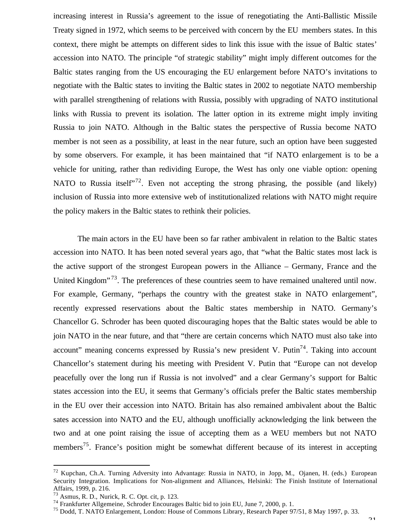increasing interest in Russia's agreement to the issue of renegotiating the Anti-Ballistic Missile Treaty signed in 1972, which seems to be perceived with concern by the EU members states. In this context, there might be attempts on different sides to link this issue with the issue of Baltic states' accession into NATO. The principle "of strategic stability" might imply different outcomes for the Baltic states ranging from the US encouraging the EU enlargement before NATO's invitations to negotiate with the Baltic states to inviting the Baltic states in 2002 to negotiate NATO membership with parallel strengthening of relations with Russia, possibly with upgrading of NATO institutional links with Russia to prevent its isolation. The latter option in its extreme might imply inviting Russia to join NATO. Although in the Baltic states the perspective of Russia become NATO member is not seen as a possibility, at least in the near future, such an option have been suggested by some observers. For example, it has been maintained that "if NATO enlargement is to be a vehicle for uniting, rather than redividing Europe, the West has only one viable option: opening NATO to Russia itself<sup> $172$ </sup>. Even not accepting the strong phrasing, the possible (and likely) inclusion of Russia into more extensive web of institutionalized relations with NATO might require the policy makers in the Baltic states to rethink their policies.

The main actors in the EU have been so far rather ambivalent in relation to the Baltic states accession into NATO. It has been noted several years ago, that "what the Baltic states most lack is the active support of the strongest European powers in the Alliance – Germany, France and the United Kingdom<sup> $13$ </sup>. The preferences of these countries seem to have remained unaltered until now. For example, Germany, "perhaps the country with the greatest stake in NATO enlargement", recently expressed reservations about the Baltic states membership in NATO. Germany's Chancellor G. Schroder has been quoted discouraging hopes that the Baltic states would be able to join NATO in the near future, and that "there are certain concerns which NATO must also take into account" meaning concerns expressed by Russia's new president V. Putin<sup>74</sup>. Taking into account Chancellor's statement during his meeting with President V. Putin that "Europe can not develop peacefully over the long run if Russia is not involved" and a clear Germany's support for Baltic states accession into the EU, it seems that Germany's officials prefer the Baltic states membership in the EU over their accession into NATO. Britain has also remained ambivalent about the Baltic sates accession into NATO and the EU, although unofficially acknowledging the link between the two and at one point raising the issue of accepting them as a WEU members but not NATO members<sup>75</sup>. France's position might be somewhat different because of its interest in accepting

<sup>72</sup> Kupchan, Ch.A. Turning Adversity into Advantage: Russia in NATO, in Jopp, M., Ojanen, H. (eds.) European Security Integration. Implications for Non-alignment and Alliances, Helsinki: The Finish Institute of International Affairs, 1999, p. 216.

<sup>73</sup> Asmus, R. D., Nurick, R. C. Opt. cit, p. 123.

<sup>74</sup> Frankfurter Allgemeine, Schroder Encourages Baltic bid to join EU, June 7, 2000, p. 1.

<sup>75</sup> Dodd, T. NATO Enlargement, London: House of Commons Library, Research Paper 97/51, 8 May 1997, p. 33.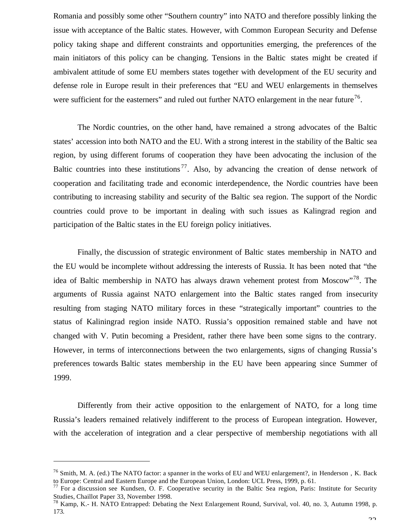Romania and possibly some other "Southern country" into NATO and therefore possibly linking the issue with acceptance of the Baltic states. However, with Common European Security and Defense policy taking shape and different constraints and opportunities emerging, the preferences of the main initiators of this policy can be changing. Tensions in the Baltic states might be created if ambivalent attitude of some EU members states together with development of the EU security and defense role in Europe result in their preferences that "EU and WEU enlargements in themselves were sufficient for the easterners" and ruled out further NATO enlargement in the near future<sup>76</sup>.

The Nordic countries, on the other hand, have remained a strong advocates of the Baltic states' accession into both NATO and the EU. With a strong interest in the stability of the Baltic sea region, by using different forums of cooperation they have been advocating the inclusion of the Baltic countries into these institutions<sup>77</sup>. Also, by advancing the creation of dense network of cooperation and facilitating trade and economic interdependence, the Nordic countries have been contributing to increasing stability and security of the Baltic sea region. The support of the Nordic countries could prove to be important in dealing with such issues as Kalingrad region and participation of the Baltic states in the EU foreign policy initiatives.

Finally, the discussion of strategic environment of Baltic states membership in NATO and the EU would be incomplete without addressing the interests of Russia. It has been noted that "the idea of Baltic membership in NATO has always drawn vehement protest from Moscow"<sup>78</sup>. The arguments of Russia against NATO enlargement into the Baltic states ranged from insecurity resulting from staging NATO military forces in these "strategically important" countries to the status of Kaliningrad region inside NATO. Russia's opposition remained stable and have not changed with V. Putin becoming a President, rather there have been some signs to the contrary. However, in terms of interconnections between the two enlargements, signs of changing Russia's preferences towards Baltic states membership in the EU have been appearing since Summer of 1999.

Differently from their active opposition to the enlargement of NATO, for a long time Russia's leaders remained relatively indifferent to the process of European integration. However, with the acceleration of integration and a clear perspective of membership negotiations with all

<sup>&</sup>lt;sup>76</sup> Smith, M. A. (ed.) The NATO factor: a spanner in the works of EU and WEU enlargement?, in Henderson, K. Back to Europe: Central and Eastern Europe and the European Union, London: UCL Press, 1999, p. 61.

 $77$  For a discussion see Kundsen, O. F. Cooperative security in the Baltic Sea region, Paris: Institute for Security Studies, Chaillot Paper 33, November 1998.

 $^{78}$  Kamp, K.- H. NATO Entrapped: Debating the Next Enlargement Round, Survival, vol. 40, no. 3, Autumn 1998, p. 173.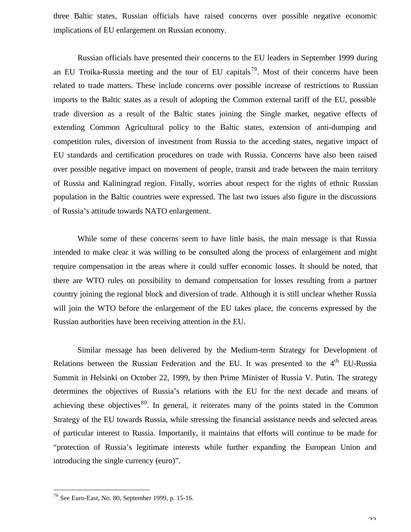three Baltic states, Russian officials have raised concerns over possible negative economic implications of EU enlargement on Russian economy.

Russian officials have presented their concerns to the EU leaders in September 1999 during an EU Troika-Russia meeting and the tour of EU capitals<sup>79</sup>. Most of their concerns have been related to trade matters. These include concerns over possible increase of restrictions to Russian imports to the Baltic states as a result of adopting the Common external tariff of the EU, possible trade diversion as a result of the Baltic states joining the Single market, negative effects of extending Common Agricultural policy to the Baltic states, extension of anti-dumping and competition rules, diversion of investment from Russia to the acceding states, negative impact of EU standards and certification procedures on trade with Russia. Concerns have also been raised over possible negative impact on movement of people, transit and trade between the main territory of Russia and Kaliningrad region. Finally, worries about respect for the rights of ethnic Russian population in the Baltic countries were expressed. The last two issues also figure in the discussions of Russia's attitude towards NATO enlargement.

While some of these concerns seem to have little basis, the main message is that Russia intended to make clear it was willing to be consulted along the process of enlargement and might require compensation in the areas where it could suffer economic losses. It should be noted, that there are WTO rules on possibility to demand compensation for losses resulting from a partner country joining the regional block and diversion of trade. Although it is still unclear whether Russia will join the WTO before the enlargement of the EU takes place, the concerns expressed by the Russian authorities have been receiving attention in the EU.

Similar message has been delivered by the Medium-term Strategy for Development of Relations between the Russian Federation and the EU. It was presented to the 4<sup>th</sup> EU-Russia Summit in Helsinki on October 22, 1999, by then Prime Minister of Russia V. Putin. The strategy determines the objectives of Russia's relations with the EU for the next decade and means of achieving these objectives $80$ . In general, it reiterates many of the points stated in the Common Strategy of the EU towards Russia, while stressing the financial assistance needs and selected areas of particular interest to Russia. Importantly, it maintains that efforts will continue to be made for "protection of Russia's legitimate interests while further expanding the European Union and introducing the single currency (euro)".

<sup>79</sup> See Euro-East, No. 80, September 1999, p. 15-16.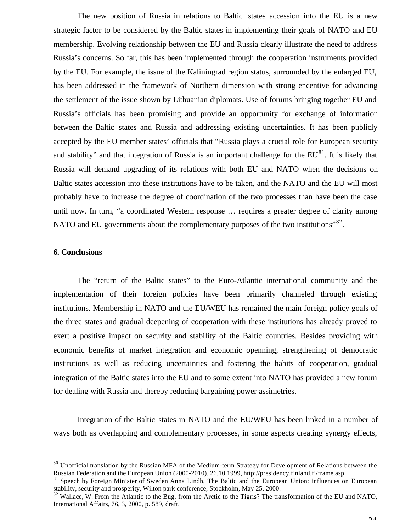The new position of Russia in relations to Baltic states accession into the EU is a new strategic factor to be considered by the Baltic states in implementing their goals of NATO and EU membership. Evolving relationship between the EU and Russia clearly illustrate the need to address Russia's concerns. So far, this has been implemented through the cooperation instruments provided by the EU. For example, the issue of the Kaliningrad region status, surrounded by the enlarged EU, has been addressed in the framework of Northern dimension with strong encentive for advancing the settlement of the issue shown by Lithuanian diplomats. Use of forums bringing together EU and Russia's officials has been promising and provide an opportunity for exchange of information between the Baltic states and Russia and addressing existing uncertainties. It has been publicly accepted by the EU member states' officials that "Russia plays a crucial role for European security and stability" and that integration of Russia is an important challenge for the  $EU^{81}$ . It is likely that Russia will demand upgrading of its relations with both EU and NATO when the decisions on Baltic states accession into these institutions have to be taken, and the NATO and the EU will most probably have to increase the degree of coordination of the two processes than have been the case until now. In turn, "a coordinated Western response … requires a greater degree of clarity among NATO and EU governments about the complementary purposes of the two institutions" $82$ .

#### **6. Conclusions**

 $\overline{a}$ 

The "return of the Baltic states" to the Euro-Atlantic international community and the implementation of their foreign policies have been primarily channeled through existing institutions. Membership in NATO and the EU/WEU has remained the main foreign policy goals of the three states and gradual deepening of cooperation with these institutions has already proved to exert a positive impact on security and stability of the Baltic countries. Besides providing with economic benefits of market integration and economic openning, strengthening of democratic institutions as well as reducing uncertainties and fostering the habits of cooperation, gradual integration of the Baltic states into the EU and to some extent into NATO has provided a new forum for dealing with Russia and thereby reducing bargaining power assimetries.

Integration of the Baltic states in NATO and the EU/WEU has been linked in a number of ways both as overlapping and complementary processes, in some aspects creating synergy effects,

<sup>&</sup>lt;sup>80</sup> Unofficial translation by the Russian MFA of the Medium-term Strategy for Development of Relations between the Russian Federation and the European Union (2000-2010), 26.10.1999, http://presidency.finland.fi/frame.asp

<sup>81</sup> Speech by Foreign Minister of Sweden Anna Lindh, The Baltic and the European Union: influences on European stability, security and prosperity, Wilton park conference, Stockholm, May 25, 2000.

<sup>&</sup>lt;sup>82</sup> Wallace, W. From the Atlantic to the Bug, from the Arctic to the Tigris? The transformation of the EU and NATO, International Affairs, 76, 3, 2000, p. 589, draft.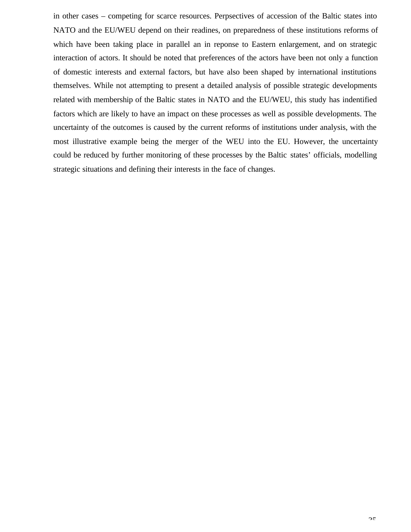in other cases – competing for scarce resources. Perpsectives of accession of the Baltic states into NATO and the EU/WEU depend on their readines, on preparedness of these institutions reforms of which have been taking place in parallel an in reponse to Eastern enlargement, and on strategic interaction of actors. It should be noted that preferences of the actors have been not only a function of domestic interests and external factors, but have also been shaped by international institutions themselves. While not attempting to present a detailed analysis of possible strategic developments related with membership of the Baltic states in NATO and the EU/WEU, this study has indentified factors which are likely to have an impact on these processes as well as possible developments. The uncertainty of the outcomes is caused by the current reforms of institutions under analysis, with the most illustrative example being the merger of the WEU into the EU. However, the uncertainty could be reduced by further monitoring of these processes by the Baltic states' officials, modelling strategic situations and defining their interests in the face of changes.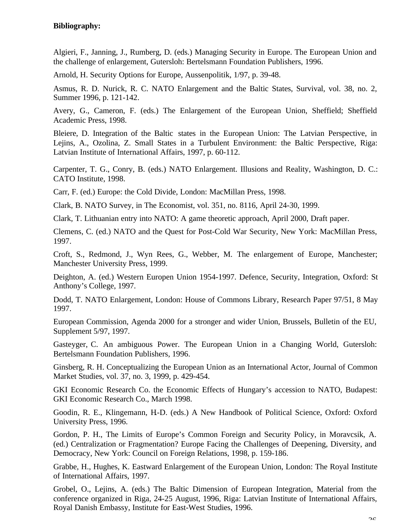## **Bibliography:**

Algieri, F., Janning, J., Rumberg, D. (eds.) Managing Security in Europe. The European Union and the challenge of enlargement, Gutersloh: Bertelsmann Foundation Publishers, 1996.

Arnold, H. Security Options for Europe, Aussenpolitik, 1/97, p. 39-48.

Asmus, R. D. Nurick, R. C. NATO Enlargement and the Baltic States, Survival, vol. 38, no. 2, Summer 1996, p. 121-142.

Avery, G., Cameron, F. (eds.) The Enlargement of the European Union, Sheffield; Sheffield Academic Press, 1998.

Bleiere, D. Integration of the Baltic states in the European Union: The Latvian Perspective, in Lejins, A., Ozolina, Z. Small States in a Turbulent Environment: the Baltic Perspective, Riga: Latvian Institute of International Affairs, 1997, p. 60-112.

Carpenter, T. G., Conry, B. (eds.) NATO Enlargement. Illusions and Reality, Washington, D. C.: CATO Institute, 1998.

Carr, F. (ed.) Europe: the Cold Divide, London: MacMillan Press, 1998.

Clark, B. NATO Survey, in The Economist, vol. 351, no. 8116, April 24-30, 1999.

Clark, T. Lithuanian entry into NATO: A game theoretic approach, April 2000, Draft paper.

Clemens, C. (ed.) NATO and the Quest for Post-Cold War Security, New York: MacMillan Press, 1997.

Croft, S., Redmond, J., Wyn Rees, G., Webber, M. The enlargement of Europe, Manchester; Manchester University Press, 1999.

Deighton, A. (ed.) Western Europen Union 1954-1997. Defence, Security, Integration, Oxford: St Anthony's College, 1997.

Dodd, T. NATO Enlargement, London: House of Commons Library, Research Paper 97/51, 8 May 1997.

European Commission, Agenda 2000 for a stronger and wider Union, Brussels, Bulletin of the EU, Supplement 5/97, 1997.

Gasteyger, C. An ambiguous Power. The European Union in a Changing World, Gutersloh: Bertelsmann Foundation Publishers, 1996.

Ginsberg, R. H. Conceptualizing the European Union as an International Actor, Journal of Common Market Studies, vol. 37, no. 3, 1999, p. 429-454.

GKI Economic Research Co. the Economic Effects of Hungary's accession to NATO, Budapest: GKI Economic Research Co., March 1998.

Goodin, R. E., Klingemann, H.-D. (eds.) A New Handbook of Political Science, Oxford: Oxford University Press, 1996.

Gordon, P. H., The Limits of Europe's Common Foreign and Security Policy, in Moravcsik, A. (ed.) Centralization or Fragmentation? Europe Facing the Challenges of Deepening, Diversity, and Democracy, New York: Council on Foreign Relations, 1998, p. 159-186.

Grabbe, H., Hughes, K. Eastward Enlargement of the European Union, London: The Royal Institute of International Affairs, 1997.

Grobel, O., Lejins, A. (eds.) The Baltic Dimension of European Integration, Material from the conference organized in Riga, 24-25 August, 1996, Riga: Latvian Institute of International Affairs, Royal Danish Embassy, Institute for East-West Studies, 1996.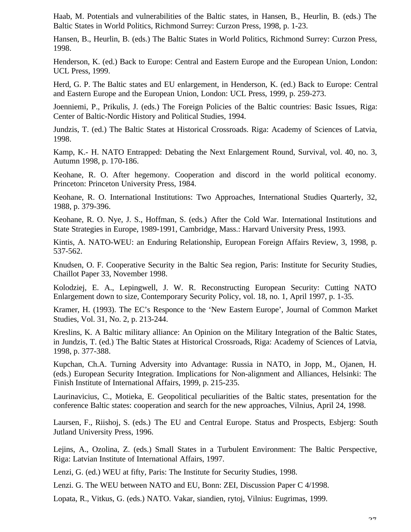Haab, M. Potentials and vulnerabilities of the Baltic states, in Hansen, B., Heurlin, B. (eds.) The Baltic States in World Politics, Richmond Surrey: Curzon Press, 1998, p. 1-23.

Hansen, B., Heurlin, B. (eds.) The Baltic States in World Politics, Richmond Surrey: Curzon Press, 1998.

Henderson, K. (ed.) Back to Europe: Central and Eastern Europe and the European Union, London: UCL Press, 1999.

Herd, G. P. The Baltic states and EU enlargement, in Henderson, K. (ed.) Back to Europe: Central and Eastern Europe and the European Union, London: UCL Press, 1999, p. 259-273.

Joenniemi, P., Prikulis, J. (eds.) The Foreign Policies of the Baltic countries: Basic Issues, Riga: Center of Baltic-Nordic History and Political Studies, 1994.

Jundzis, T. (ed.) The Baltic States at Historical Crossroads. Riga: Academy of Sciences of Latvia, 1998.

Kamp, K.- H. NATO Entrapped: Debating the Next Enlargement Round, Survival, vol. 40, no. 3, Autumn 1998, p. 170-186.

Keohane, R. O. After hegemony. Cooperation and discord in the world political economy. Princeton: Princeton University Press, 1984.

Keohane, R. O. International Institutions: Two Approaches, International Studies Quarterly, 32, 1988, p. 379-396.

Keohane, R. O. Nye, J. S., Hoffman, S. (eds.) After the Cold War. International Institutions and State Strategies in Europe, 1989-1991, Cambridge, Mass.: Harvard University Press, 1993.

Kintis, A. NATO-WEU: an Enduring Relationship, European Foreign Affairs Review, 3, 1998, p. 537-562.

Knudsen, O. F. Cooperative Security in the Baltic Sea region, Paris: Institute for Security Studies, Chaillot Paper 33, November 1998.

Kolodziej, E. A., Lepingwell, J. W. R. Reconstructing European Security: Cutting NATO Enlargement down to size, Contemporary Security Policy, vol. 18, no. 1, April 1997, p. 1-35.

Kramer, H. (1993). The EC's Responce to the 'New Eastern Europe', Journal of Common Market Studies, Vol. 31, No. 2, p. 213-244.

Kreslins, K. A Baltic military alliance: An Opinion on the Military Integration of the Baltic States, in Jundzis, T. (ed.) The Baltic States at Historical Crossroads, Riga: Academy of Sciences of Latvia, 1998, p. 377-388.

Kupchan, Ch.A. Turning Adversity into Advantage: Russia in NATO, in Jopp, M., Ojanen, H. (eds.) European Security Integration. Implications for Non-alignment and Alliances, Helsinki: The Finish Institute of International Affairs, 1999, p. 215-235.

Laurinavicius, C., Motieka, E. Geopolitical peculiarities of the Baltic states, presentation for the conference Baltic states: cooperation and search for the new approaches, Vilnius, April 24, 1998.

Laursen, F., Riishoj, S. (eds.) The EU and Central Europe. Status and Prospects, Esbjerg: South Jutland University Press, 1996.

Lejins, A., Ozolina, Z. (eds.) Small States in a Turbulent Environment: The Baltic Perspective, Riga: Latvian Institute of International Affairs, 1997.

Lenzi, G. (ed.) WEU at fifty, Paris: The Institute for Security Studies, 1998.

Lenzi. G. The WEU between NATO and EU, Bonn: ZEI, Discussion Paper C 4/1998.

Lopata, R., Vitkus, G. (eds.) NATO. Vakar, siandien, rytoj, Vilnius: Eugrimas, 1999.